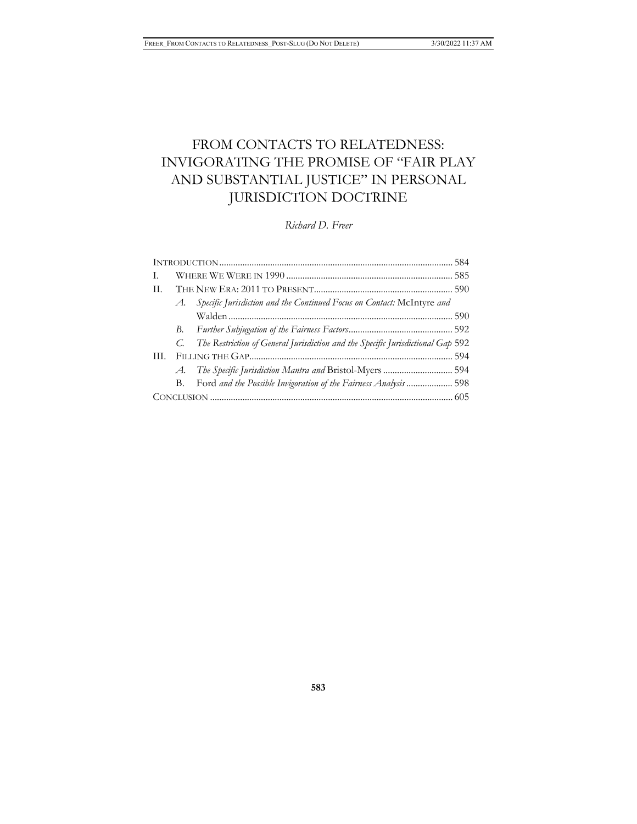# FROM CONTACTS TO RELATEDNESS: INVIGORATING THE PROMISE OF "FAIR PLAY AND SUBSTANTIAL JUSTICE" IN PERSONAL JURISDICTION DOCTRINE

*Richard D. Freer*

| T.                                                                              |
|---------------------------------------------------------------------------------|
| H.                                                                              |
| Specific Jurisdiction and the Continued Focus on Contact: McIntyre and<br>A.    |
|                                                                                 |
|                                                                                 |
| The Restriction of General Jurisdiction and the Specific Jurisdictional Gap 592 |
| HL.                                                                             |
| A. The Specific Jurisdiction Mantra and Bristol-Myers  594                      |
| Ford and the Possible Invigoration of the Fairness Analysis  598<br>В.          |
|                                                                                 |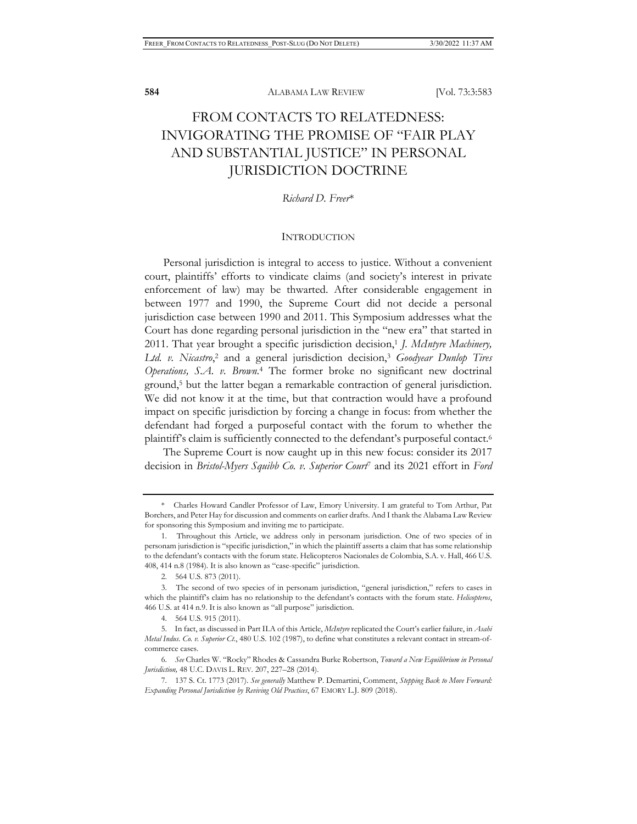## FROM CONTACTS TO RELATEDNESS: INVIGORATING THE PROMISE OF "FAIR PLAY AND SUBSTANTIAL JUSTICE" IN PERSONAL JURISDICTION DOCTRINE

*Richard D. Freer*\*

## **INTRODUCTION**

Personal jurisdiction is integral to access to justice. Without a convenient court, plaintiffs' efforts to vindicate claims (and society's interest in private enforcement of law) may be thwarted. After considerable engagement in between 1977 and 1990, the Supreme Court did not decide a personal jurisdiction case between 1990 and 2011. This Symposium addresses what the Court has done regarding personal jurisdiction in the "new era" that started in 2011. That year brought a specific jurisdiction decision,<sup>1</sup> *J. McIntyre Machinery*, *Ltd. v. Nicastro*, <sup>2</sup> and a general jurisdiction decision,3 *Goodyear Dunlop Tires Operations, S.A. v. Brown*. 4 The former broke no significant new doctrinal ground,5 but the latter began a remarkable contraction of general jurisdiction. We did not know it at the time, but that contraction would have a profound impact on specific jurisdiction by forcing a change in focus: from whether the defendant had forged a purposeful contact with the forum to whether the plaintiff's claim is sufficiently connected to the defendant's purposeful contact.6

The Supreme Court is now caught up in this new focus: consider its 2017 decision in *Bristol-Myers Squibb Co. v. Superior Court*7 and its 2021 effort in *Ford* 

<sup>\*</sup> Charles Howard Candler Professor of Law, Emory University. I am grateful to Tom Arthur, Pat Borchers, and Peter Hay for discussion and comments on earlier drafts. And I thank the Alabama Law Review for sponsoring this Symposium and inviting me to participate.

<sup>1.</sup> Throughout this Article, we address only in personam jurisdiction. One of two species of in personam jurisdiction is "specific jurisdiction," in which the plaintiff asserts a claim that has some relationship to the defendant's contacts with the forum state. Helicopteros Nacionales de Colombia, S.A. v. Hall, 466 U.S. 408, 414 n.8 (1984). It is also known as "case-specific" jurisdiction.

<sup>2. 564</sup> U.S. 873 (2011).

<sup>3.</sup> The second of two species of in personam jurisdiction, "general jurisdiction," refers to cases in which the plaintiff's claim has no relationship to the defendant's contacts with the forum state. *Helicopteros*, 466 U.S. at 414 n.9. It is also known as "all purpose" jurisdiction.

<sup>4. 564</sup> U.S. 915 (2011).

<sup>5.</sup> In fact, as discussed in Part II.A of this Article, *McIntyre* replicated the Court's earlier failure, in *Asahi Metal Indus. Co. v. Superior Ct.*, 480 U.S. 102 (1987), to define what constitutes a relevant contact in stream-ofcommerce cases.

<sup>6.</sup> *See* Charles W. "Rocky" Rhodes & Cassandra Burke Robertson, *Toward a New Equilibrium in Personal Jurisdiction,* 48 U.C. DAVIS L. REV. 207, 227–28 (2014).

<sup>7. 137</sup> S. Ct. 1773 (2017). *See generally* Matthew P. Demartini, Comment, *Stepping Back to Move Forward: Expanding Personal Jurisdiction by Reviving Old Practices*, 67 EMORY L.J. 809 (2018).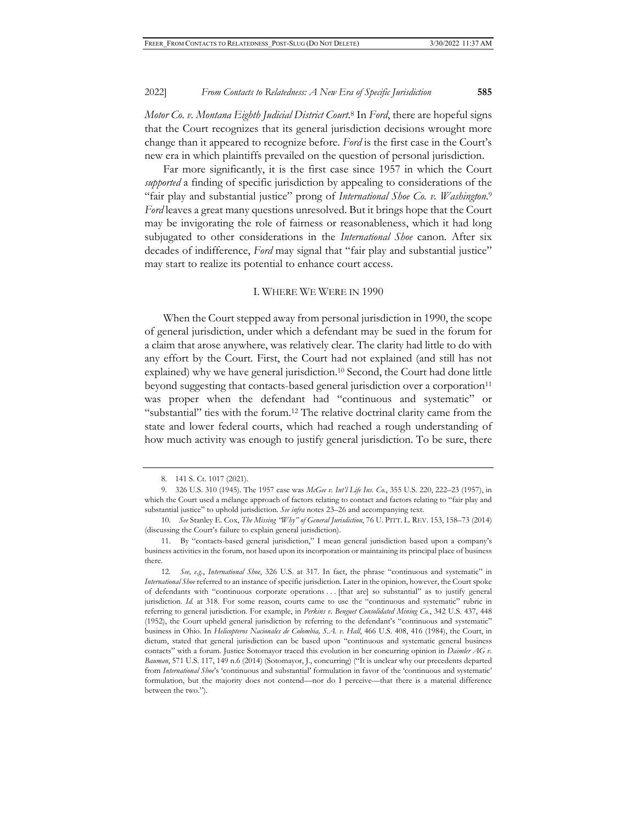*Motor Co. v. Montana Eighth Judicial District Court*. 8 In *Ford*, there are hopeful signs that the Court recognizes that its general jurisdiction decisions wrought more change than it appeared to recognize before. *Ford* is the first case in the Court's new era in which plaintiffs prevailed on the question of personal jurisdiction.

Far more significantly, it is the first case since 1957 in which the Court *supported* a finding of specific jurisdiction by appealing to considerations of the "fair play and substantial justice" prong of *International Shoe Co. v. Washington*.9 *Ford* leaves a great many questions unresolved. But it brings hope that the Court may be invigorating the role of fairness or reasonableness, which it had long subjugated to other considerations in the *International Shoe* canon. After six decades of indifference, *Ford* may signal that "fair play and substantial justice" may start to realize its potential to enhance court access.

#### I. WHERE WE WERE IN 1990

When the Court stepped away from personal jurisdiction in 1990, the scope of general jurisdiction, under which a defendant may be sued in the forum for a claim that arose anywhere, was relatively clear. The clarity had little to do with any effort by the Court. First, the Court had not explained (and still has not explained) why we have general jurisdiction.<sup>10</sup> Second, the Court had done little beyond suggesting that contacts-based general jurisdiction over a corporation<sup>11</sup> was proper when the defendant had "continuous and systematic" or "substantial" ties with the forum.12 The relative doctrinal clarity came from the state and lower federal courts, which had reached a rough understanding of how much activity was enough to justify general jurisdiction. To be sure, there

<sup>8. 141</sup> S. Ct. 1017 (2021).

<sup>9. 326</sup> U.S. 310 (1945). The 1957 case was *McGee v. Int'l Life Ins. Co.*, 355 U.S. 220, 222–23 (1957), in which the Court used a mélange approach of factors relating to contact and factors relating to "fair play and substantial justice" to uphold jurisdiction. *See infra* notes 23–26 and accompanying text.

<sup>10.</sup> *See* Stanley E. Cox, *The Missing "Why" of General Jurisdiction*, 76 U. PITT. L. REV. 153, 158–73 (2014) (discussing the Court's failure to explain general jurisdiction).

<sup>11.</sup> By "contacts-based general jurisdiction," I mean general jurisdiction based upon a company's business activities in the forum, not based upon its incorporation or maintaining its principal place of business there.

<sup>12.</sup> *See, e.g.*, *International Shoe*, 326 U.S. at 317. In fact, the phrase "continuous and systematic" in *International Shoe* referred to an instance of specific jurisdiction. Later in the opinion, however, the Court spoke of defendants with "continuous corporate operations . . . [that are] so substantial" as to justify general jurisdiction. *Id.* at 318. For some reason, courts came to use the "continuous and systematic" rubric in referring to general jurisdiction. For example, in *Perkins v. Benguet Consolidated Mining Co.*, 342 U.S. 437, 448 (1952), the Court upheld general jurisdiction by referring to the defendant's "continuous and systematic" business in Ohio. In *Helicopteros Nacionales de Colombia, S.A. v. Hall*, 466 U.S. 408, 416 (1984), the Court, in dictum, stated that general jurisdiction can be based upon "continuous and systematic general business contacts" with a forum. Justice Sotomayor traced this evolution in her concurring opinion in *Daimler AG v. Bauman*, 571 U.S. 117, 149 n.6 (2014) (Sotomayor, J., concurring) ("It is unclear why our precedents departed from *International Shoe*'s 'continuous and substantial' formulation in favor of the 'continuous and systematic' formulation, but the majority does not contend—nor do I perceive—that there is a material difference between the two.").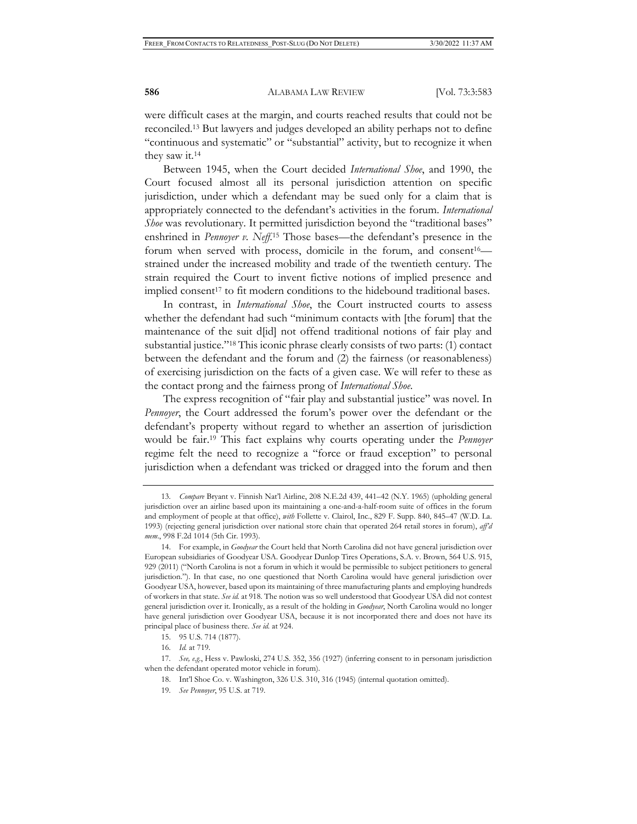were difficult cases at the margin, and courts reached results that could not be reconciled.13 But lawyers and judges developed an ability perhaps not to define "continuous and systematic" or "substantial" activity, but to recognize it when they saw it.14

Between 1945, when the Court decided *International Shoe*, and 1990, the Court focused almost all its personal jurisdiction attention on specific jurisdiction, under which a defendant may be sued only for a claim that is appropriately connected to the defendant's activities in the forum. *International Shoe* was revolutionary. It permitted jurisdiction beyond the "traditional bases" enshrined in *Pennoyer v. Neff.*<sup>15</sup> Those bases—the defendant's presence in the forum when served with process, domicile in the forum, and consent<sup>16</sup> strained under the increased mobility and trade of the twentieth century. The strain required the Court to invent fictive notions of implied presence and implied consent<sup>17</sup> to fit modern conditions to the hidebound traditional bases.

In contrast, in *International Shoe*, the Court instructed courts to assess whether the defendant had such "minimum contacts with [the forum] that the maintenance of the suit d[id] not offend traditional notions of fair play and substantial justice."18 This iconic phrase clearly consists of two parts: (1) contact between the defendant and the forum and (2) the fairness (or reasonableness) of exercising jurisdiction on the facts of a given case. We will refer to these as the contact prong and the fairness prong of *International Shoe*.

The express recognition of "fair play and substantial justice" was novel. In *Pennoyer*, the Court addressed the forum's power over the defendant or the defendant's property without regard to whether an assertion of jurisdiction would be fair.19 This fact explains why courts operating under the *Pennoyer* regime felt the need to recognize a "force or fraud exception" to personal jurisdiction when a defendant was tricked or dragged into the forum and then

<sup>13.</sup> *Compare* Bryant v. Finnish Nat'l Airline, 208 N.E.2d 439, 441–42 (N.Y. 1965) (upholding general jurisdiction over an airline based upon its maintaining a one-and-a-half-room suite of offices in the forum and employment of people at that office), *with* Follette v. Clairol, Inc., 829 F. Supp. 840, 845–47 (W.D. La. 1993) (rejecting general jurisdiction over national store chain that operated 264 retail stores in forum), *aff'd mem*., 998 F.2d 1014 (5th Cir. 1993).

<sup>14.</sup> For example, in *Goodyear* the Court held that North Carolina did not have general jurisdiction over European subsidiaries of Goodyear USA. Goodyear Dunlop Tires Operations, S.A. v. Brown, 564 U.S. 915, 929 (2011) ("North Carolina is not a forum in which it would be permissible to subject petitioners to general jurisdiction."). In that case, no one questioned that North Carolina would have general jurisdiction over Goodyear USA, however, based upon its maintaining of three manufacturing plants and employing hundreds of workers in that state. *See id.* at 918. The notion was so well understood that Goodyear USA did not contest general jurisdiction over it. Ironically, as a result of the holding in *Goodyear*, North Carolina would no longer have general jurisdiction over Goodyear USA, because it is not incorporated there and does not have its principal place of business there. *See id.* at 924.

<sup>15. 95</sup> U.S. 714 (1877).

<sup>16.</sup> *Id.* at 719.

<sup>17.</sup> *See, e.g.*, Hess v. Pawloski, 274 U.S. 352, 356 (1927) (inferring consent to in personam jurisdiction when the defendant operated motor vehicle in forum).

<sup>18.</sup> Int'l Shoe Co. v. Washington, 326 U.S. 310, 316 (1945) (internal quotation omitted).

<sup>19.</sup> *See Pennoyer*, 95 U.S. at 719.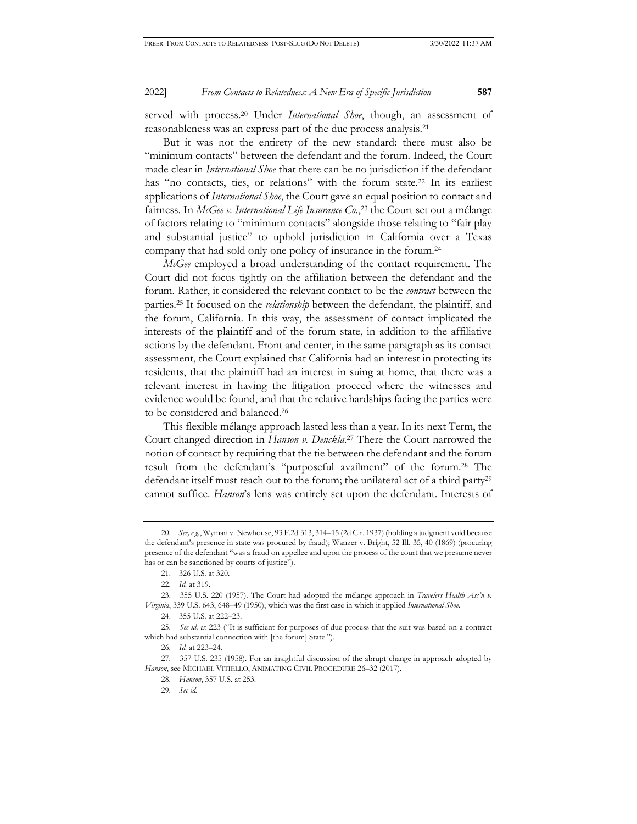served with process.20 Under *International Shoe*, though, an assessment of reasonableness was an express part of the due process analysis.21

But it was not the entirety of the new standard: there must also be "minimum contacts" between the defendant and the forum. Indeed, the Court made clear in *International Shoe* that there can be no jurisdiction if the defendant has "no contacts, ties, or relations" with the forum state.22 In its earliest applications of *International Shoe*, the Court gave an equal position to contact and fairness. In *McGee v. International Life Insurance Co.*, 23 the Court set out a mélange of factors relating to "minimum contacts" alongside those relating to "fair play and substantial justice" to uphold jurisdiction in California over a Texas company that had sold only one policy of insurance in the forum.24

*McGee* employed a broad understanding of the contact requirement. The Court did not focus tightly on the affiliation between the defendant and the forum. Rather, it considered the relevant contact to be the *contract* between the parties.25 It focused on the *relationship* between the defendant, the plaintiff, and the forum, California. In this way, the assessment of contact implicated the interests of the plaintiff and of the forum state, in addition to the affiliative actions by the defendant. Front and center, in the same paragraph as its contact assessment, the Court explained that California had an interest in protecting its residents, that the plaintiff had an interest in suing at home, that there was a relevant interest in having the litigation proceed where the witnesses and evidence would be found, and that the relative hardships facing the parties were to be considered and balanced.26

This flexible mélange approach lasted less than a year. In its next Term, the Court changed direction in *Hanson v. Denckla*. 27 There the Court narrowed the notion of contact by requiring that the tie between the defendant and the forum result from the defendant's "purposeful availment" of the forum.28 The defendant itself must reach out to the forum; the unilateral act of a third party<sup>29</sup> cannot suffice. *Hanson*'s lens was entirely set upon the defendant. Interests of

<sup>20.</sup> *See, e.g.*, Wyman v. Newhouse, 93 F.2d 313, 314–15 (2d Cir. 1937) (holding a judgment void because the defendant's presence in state was procured by fraud); Wanzer v. Bright, 52 Ill. 35, 40 (1869) (procuring presence of the defendant "was a fraud on appellee and upon the process of the court that we presume never has or can be sanctioned by courts of justice").

<sup>21. 326</sup> U.S. at 320.

<sup>22.</sup> *Id.* at 319.

<sup>23. 355</sup> U.S. 220 (1957). The Court had adopted the mélange approach in *Travelers Health Ass'n v. Virginia*, 339 U.S. 643, 648–49 (1950), which was the first case in which it applied *International Shoe.*

<sup>24. 355</sup> U.S. at 222–23.

<sup>25.</sup> *See id.* at 223 ("It is sufficient for purposes of due process that the suit was based on a contract which had substantial connection with [the forum] State.").

<sup>26.</sup> *Id.* at 223–24.

<sup>27. 357</sup> U.S. 235 (1958). For an insightful discussion of the abrupt change in approach adopted by *Hanson*, see MICHAEL VITIELLO, ANIMATING CIVIL PROCEDURE 26–32 (2017).

<sup>28.</sup> *Hanson*, 357 U.S. at 253.

<sup>29.</sup> *See id.*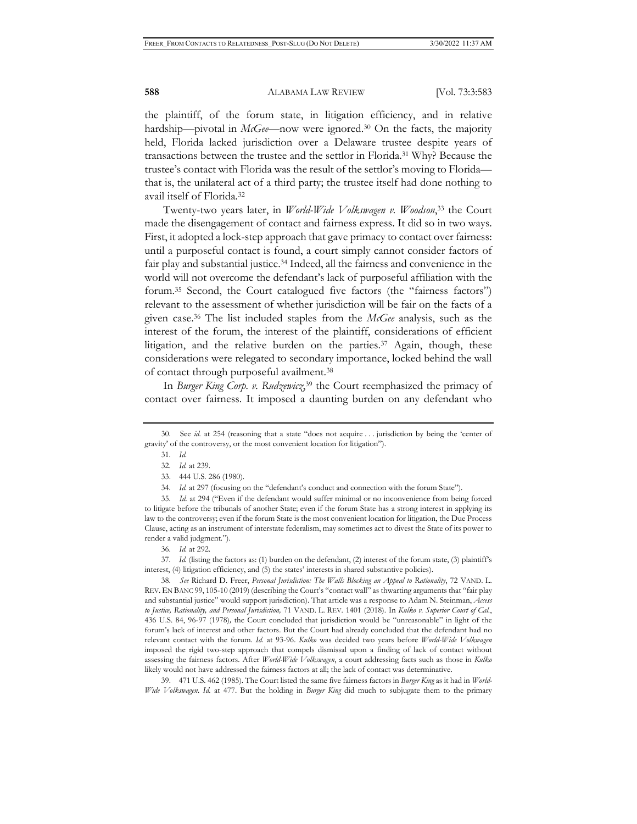the plaintiff, of the forum state, in litigation efficiency, and in relative hardship—pivotal in *McGee*—now were ignored.<sup>30</sup> On the facts, the majority held, Florida lacked jurisdiction over a Delaware trustee despite years of transactions between the trustee and the settlor in Florida.31 Why? Because the trustee's contact with Florida was the result of the settlor's moving to Florida that is, the unilateral act of a third party; the trustee itself had done nothing to avail itself of Florida.32

Twenty-two years later, in *World-Wide Volkswagen v. Woodson*, 33 the Court made the disengagement of contact and fairness express. It did so in two ways. First, it adopted a lock-step approach that gave primacy to contact over fairness: until a purposeful contact is found, a court simply cannot consider factors of fair play and substantial justice.<sup>34</sup> Indeed, all the fairness and convenience in the world will not overcome the defendant's lack of purposeful affiliation with the forum.35 Second, the Court catalogued five factors (the "fairness factors") relevant to the assessment of whether jurisdiction will be fair on the facts of a given case.36 The list included staples from the *McGee* analysis, such as the interest of the forum, the interest of the plaintiff, considerations of efficient litigation, and the relative burden on the parties.37 Again, though, these considerations were relegated to secondary importance, locked behind the wall of contact through purposeful availment.38

In *Burger King Corp. v. Rudzewicz*, 39 the Court reemphasized the primacy of contact over fairness. It imposed a daunting burden on any defendant who

39. 471 U.S. 462 (1985). The Court listed the same five fairness factors in *Burger King* as it had in *World-Wide Volkswagen*. *Id.* at 477. But the holding in *Burger King* did much to subjugate them to the primary

<sup>30.</sup> See *id.* at 254 (reasoning that a state "does not acquire . . . jurisdiction by being the 'center of gravity' of the controversy, or the most convenient location for litigation").

<sup>31.</sup> *Id.*

<sup>32.</sup> *Id.* at 239.

<sup>33. 444</sup> U.S. 286 (1980).

<sup>34.</sup> *Id.* at 297 (focusing on the "defendant's conduct and connection with the forum State").

<sup>35.</sup> *Id.* at 294 ("Even if the defendant would suffer minimal or no inconvenience from being forced to litigate before the tribunals of another State; even if the forum State has a strong interest in applying its law to the controversy; even if the forum State is the most convenient location for litigation, the Due Process Clause, acting as an instrument of interstate federalism, may sometimes act to divest the State of its power to render a valid judgment.").

<sup>36.</sup> *Id.* at 292.

<sup>37.</sup> *Id.* (listing the factors as: (1) burden on the defendant, (2) interest of the forum state, (3) plaintiff's interest, (4) litigation efficiency, and (5) the states' interests in shared substantive policies).

<sup>38.</sup> *See* Richard D. Freer, *Personal Jurisdiction: The Walls Blocking an Appeal to Rationality*, 72 VAND. L. REV. EN BANC 99, 105-10 (2019) (describing the Court's "contact wall" as thwarting arguments that "fair play and substantial justice" would support jurisdiction). That article was a response to Adam N. Steinman, *Access to Justice, Rationality, and Personal Jurisdiction,* 71 VAND. L. REV. 1401 (2018). In *Kulko v. Superior Court of Cal.*, 436 U.S. 84, 96-97 (1978)*,* the Court concluded that jurisdiction would be "unreasonable" in light of the forum's lack of interest and other factors. But the Court had already concluded that the defendant had no relevant contact with the forum. *Id.* at 93-96. *Kulko* was decided two years before *World-Wide Volkwagen* imposed the rigid two-step approach that compels dismissal upon a finding of lack of contact without assessing the fairness factors. After *World-Wide Volkswagen*, a court addressing facts such as those in *Kulko* likely would not have addressed the fairness factors at all; the lack of contact was determinative.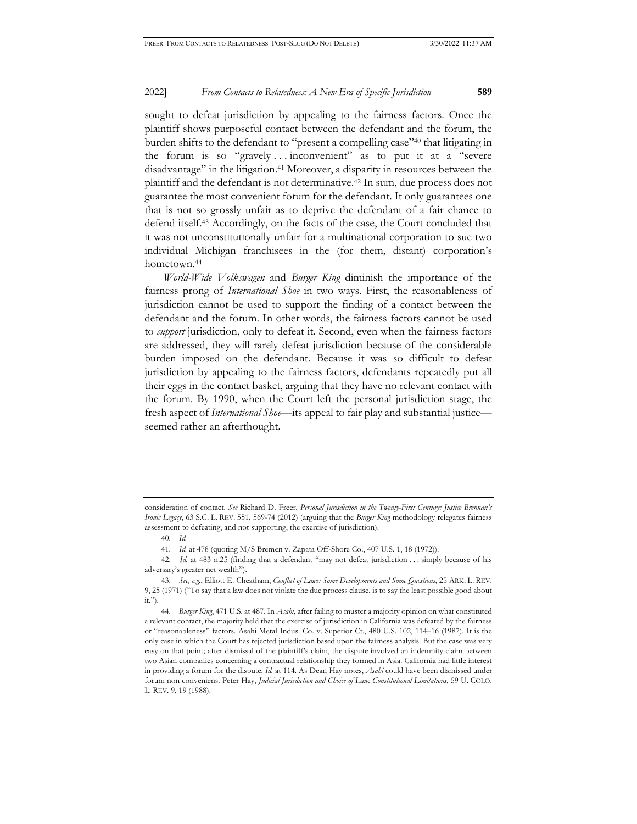sought to defeat jurisdiction by appealing to the fairness factors. Once the plaintiff shows purposeful contact between the defendant and the forum, the burden shifts to the defendant to "present a compelling case"40 that litigating in the forum is so "gravely . . . inconvenient" as to put it at a "severe disadvantage" in the litigation.41 Moreover, a disparity in resources between the plaintiff and the defendant is not determinative.42 In sum, due process does not guarantee the most convenient forum for the defendant. It only guarantees one that is not so grossly unfair as to deprive the defendant of a fair chance to defend itself.43 Accordingly, on the facts of the case, the Court concluded that it was not unconstitutionally unfair for a multinational corporation to sue two individual Michigan franchisees in the (for them, distant) corporation's hometown.<sup>44</sup>

*World-Wide Volkswagen* and *Burger King* diminish the importance of the fairness prong of *International Shoe* in two ways. First, the reasonableness of jurisdiction cannot be used to support the finding of a contact between the defendant and the forum. In other words, the fairness factors cannot be used to *support* jurisdiction, only to defeat it. Second, even when the fairness factors are addressed, they will rarely defeat jurisdiction because of the considerable burden imposed on the defendant. Because it was so difficult to defeat jurisdiction by appealing to the fairness factors, defendants repeatedly put all their eggs in the contact basket, arguing that they have no relevant contact with the forum. By 1990, when the Court left the personal jurisdiction stage, the fresh aspect of *International Shoe*—its appeal to fair play and substantial justice seemed rather an afterthought.

consideration of contact. *See* Richard D. Freer, *Personal Jurisdiction in the Twenty-First Century: Justice Brennan's Ironic Legacy*, 63 S.C. L. REV. 551, 569-74 (2012) (arguing that the *Burger King* methodology relegates fairness assessment to defeating, and not supporting, the exercise of jurisdiction).

<sup>40.</sup> *Id.*

<sup>41.</sup> *Id.* at 478 (quoting M/S Bremen v. Zapata Off-Shore Co., 407 U.S. 1, 18 (1972)).

<sup>42.</sup> *Id.* at 483 n.25 (finding that a defendant "may not defeat jurisdiction . . . simply because of his adversary's greater net wealth").

<sup>43.</sup> *See, e.g.*, Elliott E. Cheatham, *Conflict of Laws: Some Developments and Some Questions*, 25 ARK. L. REV. 9, 25 (1971) ("To say that a law does not violate the due process clause, is to say the least possible good about it.").

<sup>44.</sup> *Burger King*, 471 U.S. at 487. In *Asahi*, after failing to muster a majority opinion on what constituted a relevant contact, the majority held that the exercise of jurisdiction in California was defeated by the fairness or "reasonableness" factors. Asahi Metal Indus. Co. v. Superior Ct., 480 U.S. 102, 114–16 (1987). It is the only case in which the Court has rejected jurisdiction based upon the fairness analysis. But the case was very easy on that point; after dismissal of the plaintiff's claim, the dispute involved an indemnity claim between two Asian companies concerning a contractual relationship they formed in Asia. California had little interest in providing a forum for the dispute. *Id.* at 114. As Dean Hay notes, *Asahi* could have been dismissed under forum non conveniens. Peter Hay, *Judicial Jurisdiction and Choice of Law: Constitutional Limitations*, 59 U. COLO. L. REV. 9, 19 (1988).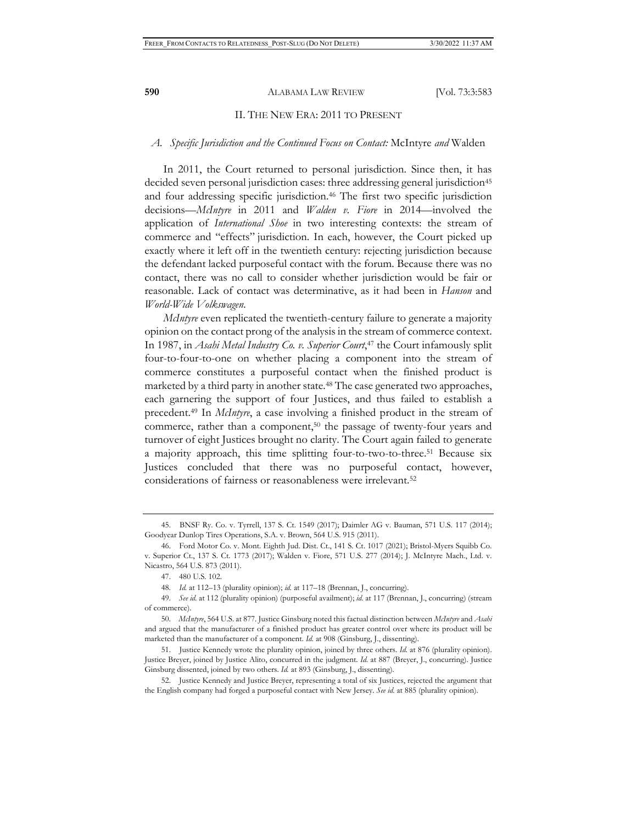#### II. THE NEW ERA: 2011 TO PRESENT

### *A. Specific Jurisdiction and the Continued Focus on Contact:* McIntyre *and* Walden

In 2011, the Court returned to personal jurisdiction. Since then, it has decided seven personal jurisdiction cases: three addressing general jurisdiction<sup>45</sup> and four addressing specific jurisdiction.<sup>46</sup> The first two specific jurisdiction decisions—*McIntyre* in 2011 and *Walden v. Fiore* in 2014—involved the application of *International Shoe* in two interesting contexts: the stream of commerce and "effects" jurisdiction. In each, however, the Court picked up exactly where it left off in the twentieth century: rejecting jurisdiction because the defendant lacked purposeful contact with the forum. Because there was no contact, there was no call to consider whether jurisdiction would be fair or reasonable. Lack of contact was determinative, as it had been in *Hanson* and *World-Wide Volkswagen.* 

*McIntyre* even replicated the twentieth-century failure to generate a majority opinion on the contact prong of the analysis in the stream of commerce context. In 1987, in *Asahi Metal Industry Co. v. Superior Court*, 47 the Court infamously split four-to-four-to-one on whether placing a component into the stream of commerce constitutes a purposeful contact when the finished product is marketed by a third party in another state.48 The case generated two approaches, each garnering the support of four Justices, and thus failed to establish a precedent.49 In *McIntyre*, a case involving a finished product in the stream of commerce, rather than a component,<sup>50</sup> the passage of twenty-four years and turnover of eight Justices brought no clarity. The Court again failed to generate a majority approach, this time splitting four-to-two-to-three.51 Because six Justices concluded that there was no purposeful contact, however, considerations of fairness or reasonableness were irrelevant.52

<sup>45.</sup> BNSF Ry. Co. v. Tyrrell, 137 S. Ct. 1549 (2017); Daimler AG v. Bauman, 571 U.S. 117 (2014); Goodyear Dunlop Tires Operations, S.A. v. Brown, 564 U.S. 915 (2011).

<sup>46.</sup> Ford Motor Co. v. Mont. Eighth Jud. Dist. Ct., 141 S. Ct. 1017 (2021); Bristol-Myers Squibb Co. v. Superior Ct., 137 S. Ct. 1773 (2017); Walden v. Fiore, 571 U.S. 277 (2014); J. McIntyre Mach., Ltd. v. Nicastro, 564 U.S. 873 (2011).

<sup>47. 480</sup> U.S. 102.

<sup>48.</sup> *Id.* at 112–13 (plurality opinion); *id.* at 117–18 (Brennan, J., concurring).

<sup>49.</sup> *See id.* at 112 (plurality opinion) (purposeful availment); *id.* at 117 (Brennan, J., concurring) (stream of commerce).

<sup>50.</sup> *McIntyre*, 564 U.S. at 877. Justice Ginsburg noted this factual distinction between *McIntyre* and *Asahi* and argued that the manufacturer of a finished product has greater control over where its product will be marketed than the manufacturer of a component. *Id.* at 908 (Ginsburg, J., dissenting).

<sup>51.</sup> Justice Kennedy wrote the plurality opinion, joined by three others. *Id.* at 876 (plurality opinion). Justice Breyer, joined by Justice Alito, concurred in the judgment. *Id.* at 887 (Breyer, J., concurring). Justice Ginsburg dissented, joined by two others. *Id.* at 893 (Ginsburg, J., dissenting).

<sup>52.</sup> Justice Kennedy and Justice Breyer, representing a total of six Justices, rejected the argument that the English company had forged a purposeful contact with New Jersey. *See id.* at 885 (plurality opinion).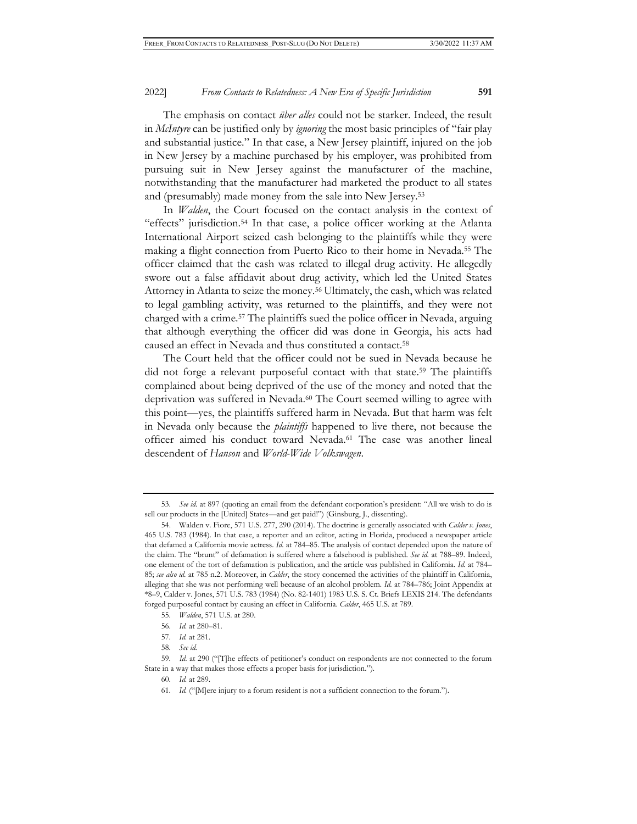The emphasis on contact *über alles* could not be starker. Indeed, the result in *McIntyre* can be justified only by *ignoring* the most basic principles of "fair play and substantial justice." In that case, a New Jersey plaintiff, injured on the job in New Jersey by a machine purchased by his employer, was prohibited from pursuing suit in New Jersey against the manufacturer of the machine, notwithstanding that the manufacturer had marketed the product to all states and (presumably) made money from the sale into New Jersey.53

In *Walden*, the Court focused on the contact analysis in the context of "effects" jurisdiction.54 In that case, a police officer working at the Atlanta International Airport seized cash belonging to the plaintiffs while they were making a flight connection from Puerto Rico to their home in Nevada.55 The officer claimed that the cash was related to illegal drug activity. He allegedly swore out a false affidavit about drug activity, which led the United States Attorney in Atlanta to seize the money.56 Ultimately, the cash, which was related to legal gambling activity, was returned to the plaintiffs, and they were not charged with a crime.57 The plaintiffs sued the police officer in Nevada, arguing that although everything the officer did was done in Georgia, his acts had caused an effect in Nevada and thus constituted a contact.58

The Court held that the officer could not be sued in Nevada because he did not forge a relevant purposeful contact with that state.<sup>59</sup> The plaintiffs complained about being deprived of the use of the money and noted that the deprivation was suffered in Nevada.<sup>60</sup> The Court seemed willing to agree with this point—yes, the plaintiffs suffered harm in Nevada. But that harm was felt in Nevada only because the *plaintiffs* happened to live there, not because the officer aimed his conduct toward Nevada.61 The case was another lineal descendent of *Hanson* and *World-Wide Volkswagen*.

<sup>53.</sup> *See id.* at 897 (quoting an email from the defendant corporation's president: "All we wish to do is sell our products in the [United] States—and get paid!") (Ginsburg, J., dissenting).

<sup>54.</sup> Walden v. Fiore, 571 U.S. 277, 290 (2014). The doctrine is generally associated with *Calder v. Jones*, 465 U.S. 783 (1984). In that case, a reporter and an editor, acting in Florida, produced a newspaper article that defamed a California movie actress. *Id.* at 784–85. The analysis of contact depended upon the nature of the claim. The "brunt" of defamation is suffered where a falsehood is published. *See id.* at 788–89. Indeed, one element of the tort of defamation is publication, and the article was published in California. *Id.* at 784– 85; *see also id.* at 785 n.2. Moreover, in *Calder*, the story concerned the activities of the plaintiff in California, alleging that she was not performing well because of an alcohol problem. *Id.* at 784–786; Joint Appendix at \*8–9, Calder v. Jones, 571 U.S. 783 (1984) (No. 82-1401) 1983 U.S. S. Ct. Briefs LEXIS 214. The defendants forged purposeful contact by causing an effect in California. *Calder*, 465 U.S. at 789.

<sup>55.</sup> *Walden*, 571 U.S. at 280.

<sup>56.</sup> *Id.* at 280–81.

<sup>57.</sup> *Id.* at 281.

<sup>58.</sup> *See id.*

<sup>59.</sup> *Id.* at 290 ("[T]he effects of petitioner's conduct on respondents are not connected to the forum State in a way that makes those effects a proper basis for jurisdiction.").

<sup>60.</sup> *Id.* at 289.

<sup>61.</sup> *Id.* ("[M]ere injury to a forum resident is not a sufficient connection to the forum.").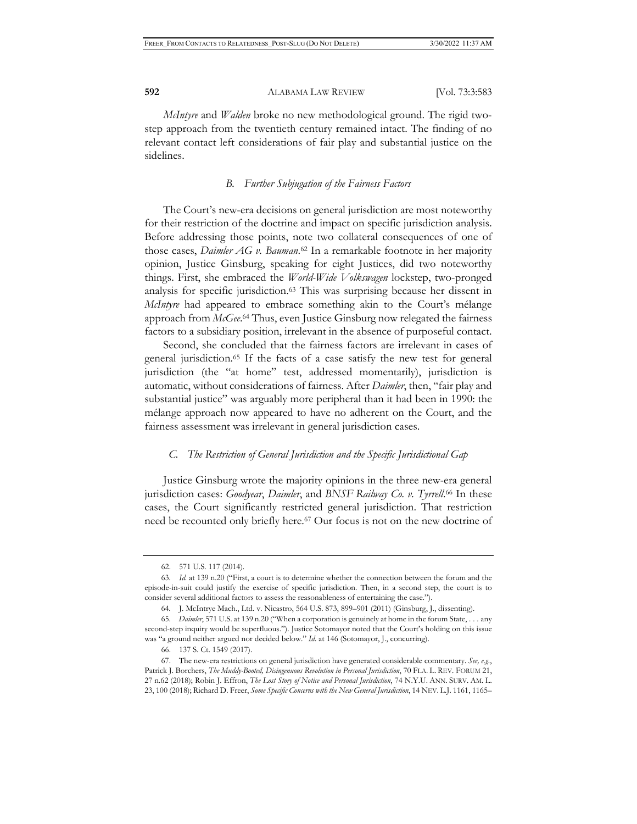*McIntyre* and *Walden* broke no new methodological ground. The rigid twostep approach from the twentieth century remained intact. The finding of no relevant contact left considerations of fair play and substantial justice on the sidelines.

#### *B. Further Subjugation of the Fairness Factors*

The Court's new-era decisions on general jurisdiction are most noteworthy for their restriction of the doctrine and impact on specific jurisdiction analysis. Before addressing those points, note two collateral consequences of one of those cases, *Daimler AG v. Bauman*. 62 In a remarkable footnote in her majority opinion, Justice Ginsburg, speaking for eight Justices, did two noteworthy things. First, she embraced the *World-Wide Volkswagen* lockstep, two-pronged analysis for specific jurisdiction.63 This was surprising because her dissent in *McIntyre* had appeared to embrace something akin to the Court's mélange approach from *McGee*. 64 Thus, even Justice Ginsburg now relegated the fairness factors to a subsidiary position, irrelevant in the absence of purposeful contact.

Second, she concluded that the fairness factors are irrelevant in cases of general jurisdiction.65 If the facts of a case satisfy the new test for general jurisdiction (the "at home" test, addressed momentarily), jurisdiction is automatic, without considerations of fairness. After *Daimler*, then, "fair play and substantial justice" was arguably more peripheral than it had been in 1990: the mélange approach now appeared to have no adherent on the Court, and the fairness assessment was irrelevant in general jurisdiction cases.

## *C. The Restriction of General Jurisdiction and the Specific Jurisdictional Gap*

Justice Ginsburg wrote the majority opinions in the three new-era general jurisdiction cases: *Goodyear*, *Daimler*, and *BNSF Railway Co. v. Tyrrell*. 66 In these cases, the Court significantly restricted general jurisdiction. That restriction need be recounted only briefly here.67 Our focus is not on the new doctrine of

<sup>62. 571</sup> U.S. 117 (2014).

<sup>63.</sup> *Id.* at 139 n.20 ("First, a court is to determine whether the connection between the forum and the episode-in-suit could justify the exercise of specific jurisdiction. Then, in a second step, the court is to consider several additional factors to assess the reasonableness of entertaining the case.").

<sup>64</sup>*.* J. McIntrye Mach., Ltd. v. Nicastro, 564 U.S. 873, 899–901 (2011) (Ginsburg, J., dissenting).

<sup>65.</sup> *Daimler*, 571 U.S. at 139 n.20 ("When a corporation is genuinely at home in the forum State, . . . any second-step inquiry would be superfluous."). Justice Sotomayor noted that the Court's holding on this issue was "a ground neither argued nor decided below." *Id*. at 146 (Sotomayor, J., concurring).

<sup>66. 137</sup> S. Ct. 1549 (2017).

<sup>67.</sup> The new-era restrictions on general jurisdiction have generated considerable commentary. *See, e.g.*, Patrick J. Borchers, *The Muddy-Booted, Disingenuous Revolution in Personal Jurisdiction*, 70 FLA. L. REV. FORUM 21, 27 n.62 (2018); Robin J. Effron, *The Lost Story of Notice and Personal Jurisdiction*, 74 N.Y.U. ANN. SURV. AM. L. 23, 100 (2018); Richard D. Freer, *Some Specific Concerns with the New General Jurisdiction*, 14 NEV. L.J. 1161, 1165–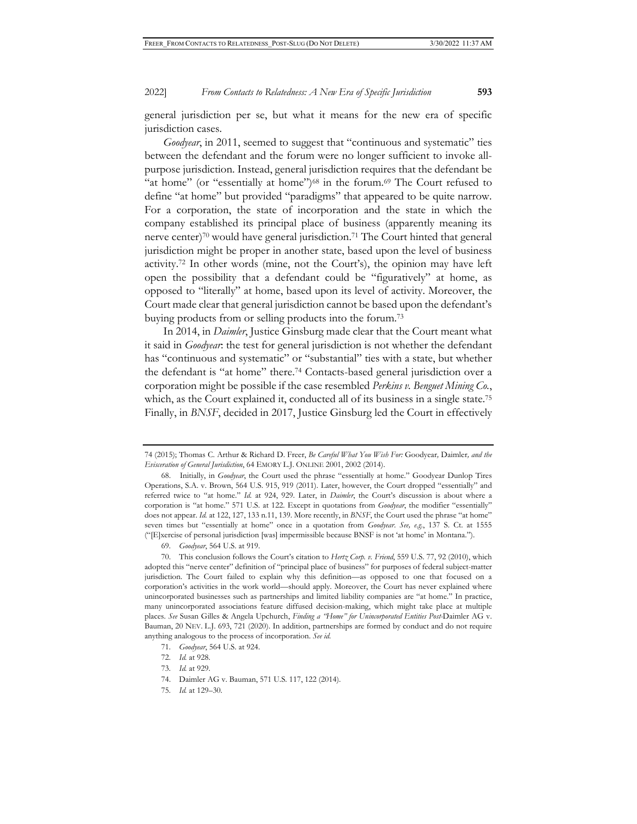general jurisdiction per se, but what it means for the new era of specific jurisdiction cases.

*Goodyear*, in 2011, seemed to suggest that "continuous and systematic" ties between the defendant and the forum were no longer sufficient to invoke allpurpose jurisdiction. Instead, general jurisdiction requires that the defendant be "at home" (or "essentially at home")<sup>68</sup> in the forum.<sup>69</sup> The Court refused to define "at home" but provided "paradigms" that appeared to be quite narrow. For a corporation, the state of incorporation and the state in which the company established its principal place of business (apparently meaning its nerve center)<sup>70</sup> would have general jurisdiction.<sup>71</sup> The Court hinted that general jurisdiction might be proper in another state, based upon the level of business activity.72 In other words (mine, not the Court's), the opinion may have left open the possibility that a defendant could be "figuratively" at home, as opposed to "literally" at home, based upon its level of activity. Moreover, the Court made clear that general jurisdiction cannot be based upon the defendant's buying products from or selling products into the forum.73

In 2014, in *Daimler*, Justice Ginsburg made clear that the Court meant what it said in *Goodyear*: the test for general jurisdiction is not whether the defendant has "continuous and systematic" or "substantial" ties with a state, but whether the defendant is "at home" there.74 Contacts-based general jurisdiction over a corporation might be possible if the case resembled *Perkins v. Benguet Mining Co.*, which, as the Court explained it, conducted all of its business in a single state.<sup>75</sup> Finally, in *BNSF*, decided in 2017, Justice Ginsburg led the Court in effectively

- 74. Daimler AG v. Bauman, 571 U.S. 117, 122 (2014).
- 75. *Id.* at 129–30.

<sup>74 (2015);</sup> Thomas C. Arthur & Richard D. Freer, *Be Careful What You Wish For:* Goodyear*,* Daimler*, and the Evisceration of General Jurisdiction*, 64 EMORY L.J. ONLINE 2001, 2002 (2014).

<sup>68.</sup> Initially, in *Goodyear*, the Court used the phrase "essentially at home." Goodyear Dunlop Tires Operations, S.A. v. Brown, 564 U.S. 915, 919 (2011). Later, however, the Court dropped "essentially" and referred twice to "at home." *Id.* at 924, 929. Later, in *Daimler*, the Court's discussion is about where a corporation is "at home." 571 U.S. at 122. Except in quotations from *Goodyear*, the modifier "essentially" does not appear. *Id.* at 122, 127, 133 n.11, 139. More recently, in *BNSF*, the Court used the phrase "at home" seven times but "essentially at home" once in a quotation from *Goodyear*. *See, e.g.*, 137 S. Ct. at 1555 ("[E]xercise of personal jurisdiction [was] impermissible because BNSF is not 'at home' in Montana.").

<sup>69.</sup> *Goodyear*, 564 U.S. at 919.

<sup>70.</sup> This conclusion follows the Court's citation to *Hertz Corp. v. Friend*, 559 U.S. 77, 92 (2010), which adopted this "nerve center" definition of "principal place of business" for purposes of federal subject-matter jurisdiction. The Court failed to explain why this definition—as opposed to one that focused on a corporation's activities in the work world—should apply. Moreover, the Court has never explained where unincorporated businesses such as partnerships and limited liability companies are "at home." In practice, many unincorporated associations feature diffused decision-making, which might take place at multiple places. *See* Susan Gilles & Angela Upchurch, *Finding a "Home" for Unincorporated Entities Post-*Daimler AG v. Bauman, 20 NEV. L.J. 693, 721 (2020). In addition, partnerships are formed by conduct and do not require anything analogous to the process of incorporation. *See id.*

<sup>71.</sup> *Goodyear*, 564 U.S. at 924.

<sup>72.</sup> *Id.* at 928.

<sup>73.</sup> *Id.* at 929.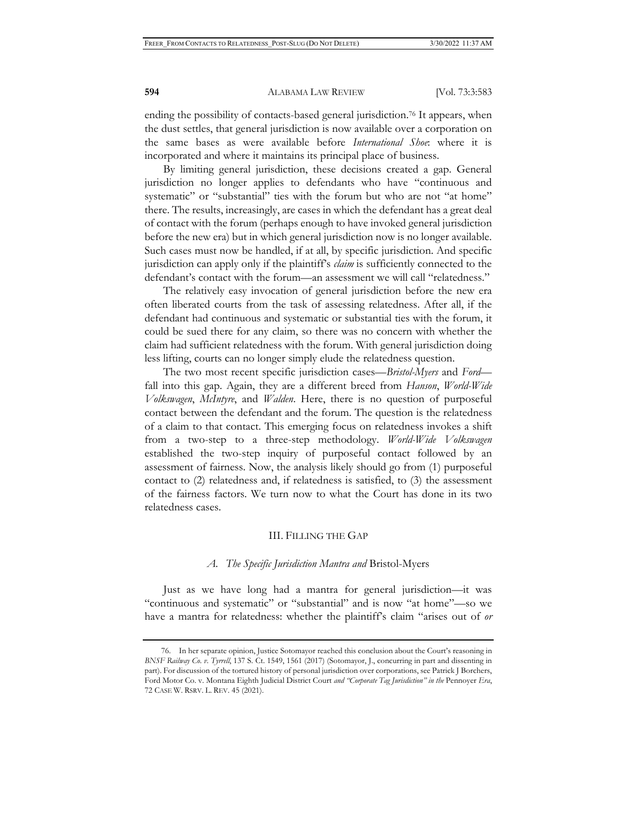ending the possibility of contacts-based general jurisdiction.<sup>76</sup> It appears, when the dust settles, that general jurisdiction is now available over a corporation on the same bases as were available before *International Shoe*: where it is incorporated and where it maintains its principal place of business.

By limiting general jurisdiction, these decisions created a gap. General jurisdiction no longer applies to defendants who have "continuous and systematic" or "substantial" ties with the forum but who are not "at home" there. The results, increasingly, are cases in which the defendant has a great deal of contact with the forum (perhaps enough to have invoked general jurisdiction before the new era) but in which general jurisdiction now is no longer available. Such cases must now be handled, if at all, by specific jurisdiction. And specific jurisdiction can apply only if the plaintiff's *claim* is sufficiently connected to the defendant's contact with the forum—an assessment we will call "relatedness."

The relatively easy invocation of general jurisdiction before the new era often liberated courts from the task of assessing relatedness. After all, if the defendant had continuous and systematic or substantial ties with the forum, it could be sued there for any claim, so there was no concern with whether the claim had sufficient relatedness with the forum. With general jurisdiction doing less lifting, courts can no longer simply elude the relatedness question.

The two most recent specific jurisdiction cases—*Bristol-Myers* and *Ford* fall into this gap. Again, they are a different breed from *Hanson*, *World-Wide Volkswagen*, *McIntyre*, and *Walden*. Here, there is no question of purposeful contact between the defendant and the forum. The question is the relatedness of a claim to that contact. This emerging focus on relatedness invokes a shift from a two-step to a three-step methodology. *World-Wide Volkswagen* established the two-step inquiry of purposeful contact followed by an assessment of fairness. Now, the analysis likely should go from (1) purposeful contact to (2) relatedness and, if relatedness is satisfied, to (3) the assessment of the fairness factors. We turn now to what the Court has done in its two relatedness cases.

### III. FILLING THE GAP

#### *A. The Specific Jurisdiction Mantra and* Bristol-Myers

Just as we have long had a mantra for general jurisdiction—it was "continuous and systematic" or "substantial" and is now "at home"—so we have a mantra for relatedness: whether the plaintiff's claim "arises out of *or*

<sup>76.</sup> In her separate opinion, Justice Sotomayor reached this conclusion about the Court's reasoning in *BNSF Railway Co. v. Tyrrell*, 137 S. Ct. 1549, 1561 (2017) (Sotomayor, J., concurring in part and dissenting in part). For discussion of the tortured history of personal jurisdiction over corporations, see Patrick J Borchers, Ford Motor Co. v. Montana Eighth Judicial District Court *and "Corporate Tag Jurisdiction" in the* Pennoyer *Era*, 72 CASE W. RSRV. L. REV. 45 (2021).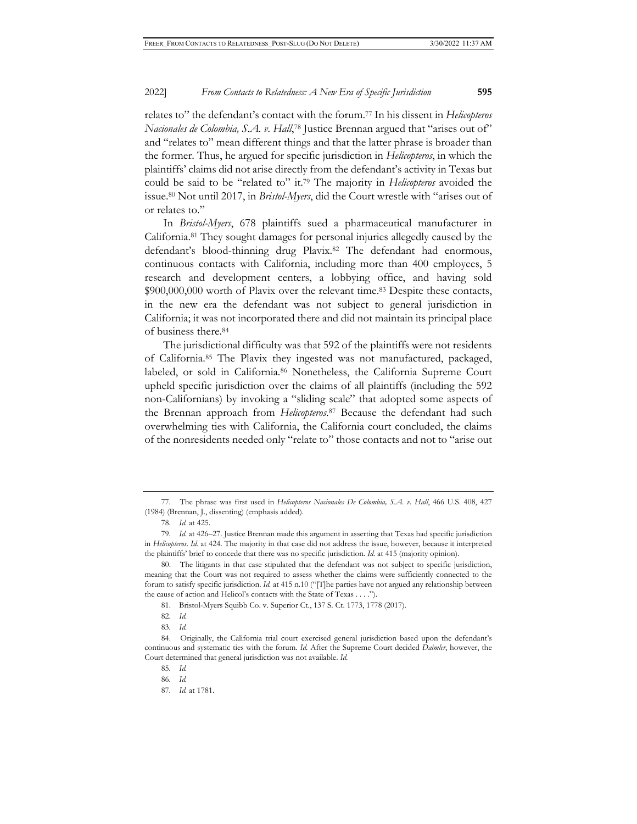## 2022] *From Contacts to Relatedness: A New Era of Specific Jurisdiction* **595**

relates to" the defendant's contact with the forum.77 In his dissent in *Helicopteros Nacionales de Colombia, S.A. v. Hall*, 78 Justice Brennan argued that "arises out of" and "relates to" mean different things and that the latter phrase is broader than the former. Thus, he argued for specific jurisdiction in *Helicopteros*, in which the plaintiffs' claims did not arise directly from the defendant's activity in Texas but could be said to be "related to" it.79 The majority in *Helicopteros* avoided the issue.80 Not until 2017, in *Bristol-Myers*, did the Court wrestle with "arises out of or relates to."

In *Bristol-Myers*, 678 plaintiffs sued a pharmaceutical manufacturer in California.81 They sought damages for personal injuries allegedly caused by the defendant's blood-thinning drug Plavix.82 The defendant had enormous, continuous contacts with California, including more than 400 employees, 5 research and development centers, a lobbying office, and having sold \$900,000,000 worth of Plavix over the relevant time.83 Despite these contacts, in the new era the defendant was not subject to general jurisdiction in California; it was not incorporated there and did not maintain its principal place of business there.84

The jurisdictional difficulty was that 592 of the plaintiffs were not residents of California.85 The Plavix they ingested was not manufactured, packaged, labeled, or sold in California.<sup>86</sup> Nonetheless, the California Supreme Court upheld specific jurisdiction over the claims of all plaintiffs (including the 592 non-Californians) by invoking a "sliding scale" that adopted some aspects of the Brennan approach from *Helicopteros*. 87 Because the defendant had such overwhelming ties with California, the California court concluded, the claims of the nonresidents needed only "relate to" those contacts and not to "arise out

<sup>77.</sup> The phrase was first used in *Helicopteros Nacionales De Colombia, S.A. v. Hall*, 466 U.S. 408, 427 (1984) (Brennan, J., dissenting) (emphasis added).

<sup>78.</sup> *Id.* at 425.

<sup>79.</sup> *Id.* at 426–27. Justice Brennan made this argument in asserting that Texas had specific jurisdiction in *Helicopteros*. *Id.* at 424. The majority in that case did not address the issue, however, because it interpreted the plaintiffs' brief to concede that there was no specific jurisdiction. *Id.* at 415 (majority opinion).

<sup>80.</sup> The litigants in that case stipulated that the defendant was not subject to specific jurisdiction, meaning that the Court was not required to assess whether the claims were sufficiently connected to the forum to satisfy specific jurisdiction. *Id.* at 415 n.10 ("[T]he parties have not argued any relationship between the cause of action and Helicol's contacts with the State of Texas . . . .").

<sup>81.</sup> Bristol-Myers Squibb Co. v. Superior Ct., 137 S. Ct. 1773, 1778 (2017).

<sup>82.</sup> *Id.*

<sup>83.</sup> *Id.*

<sup>84.</sup> Originally, the California trial court exercised general jurisdiction based upon the defendant's continuous and systematic ties with the forum. *Id.* After the Supreme Court decided *Daimler*, however, the Court determined that general jurisdiction was not available. *Id.* 

<sup>85.</sup> *Id.*

<sup>86.</sup> *Id.*

<sup>87.</sup> *Id.* at 1781.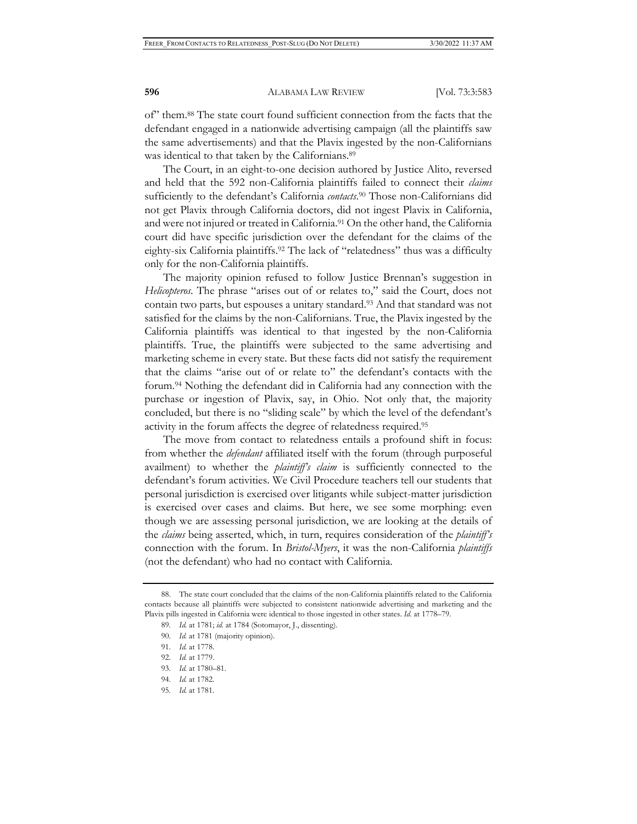of" them.88 The state court found sufficient connection from the facts that the defendant engaged in a nationwide advertising campaign (all the plaintiffs saw the same advertisements) and that the Plavix ingested by the non-Californians was identical to that taken by the Californians.89

The Court, in an eight-to-one decision authored by Justice Alito, reversed and held that the 592 non-California plaintiffs failed to connect their *claims* sufficiently to the defendant's California *contacts*. 90 Those non-Californians did not get Plavix through California doctors, did not ingest Plavix in California, and were not injured or treated in California.<sup>91</sup> On the other hand, the California court did have specific jurisdiction over the defendant for the claims of the eighty-six California plaintiffs.<sup>92</sup> The lack of "relatedness" thus was a difficulty only for the non-California plaintiffs.

The majority opinion refused to follow Justice Brennan's suggestion in *Helicopteros*. The phrase "arises out of or relates to," said the Court, does not contain two parts, but espouses a unitary standard.<sup>93</sup> And that standard was not satisfied for the claims by the non-Californians. True, the Plavix ingested by the California plaintiffs was identical to that ingested by the non-California plaintiffs. True, the plaintiffs were subjected to the same advertising and marketing scheme in every state. But these facts did not satisfy the requirement that the claims "arise out of or relate to" the defendant's contacts with the forum.94 Nothing the defendant did in California had any connection with the purchase or ingestion of Plavix, say, in Ohio. Not only that, the majority concluded, but there is no "sliding scale" by which the level of the defendant's activity in the forum affects the degree of relatedness required.95

The move from contact to relatedness entails a profound shift in focus: from whether the *defendant* affiliated itself with the forum (through purposeful availment) to whether the *plaintiff's claim* is sufficiently connected to the defendant's forum activities. We Civil Procedure teachers tell our students that personal jurisdiction is exercised over litigants while subject-matter jurisdiction is exercised over cases and claims. But here, we see some morphing: even though we are assessing personal jurisdiction, we are looking at the details of the *claims* being asserted, which, in turn, requires consideration of the *plaintiff's*  connection with the forum. In *Bristol-Myers*, it was the non-California *plaintiffs* (not the defendant) who had no contact with California.

<sup>88.</sup> The state court concluded that the claims of the non-California plaintiffs related to the California contacts because all plaintiffs were subjected to consistent nationwide advertising and marketing and the Plavix pills ingested in California were identical to those ingested in other states. *Id.* at 1778–79.

<sup>89.</sup> *Id.* at 1781; *id.* at 1784 (Sotomayor, J., dissenting).

<sup>90.</sup> *Id.* at 1781 (majority opinion).

<sup>91.</sup> *Id.* at 1778.

<sup>92.</sup> *Id.* at 1779.

<sup>93.</sup> *Id.* at 1780–81.

<sup>94.</sup> *Id.* at 1782.

<sup>95.</sup> *Id.* at 1781.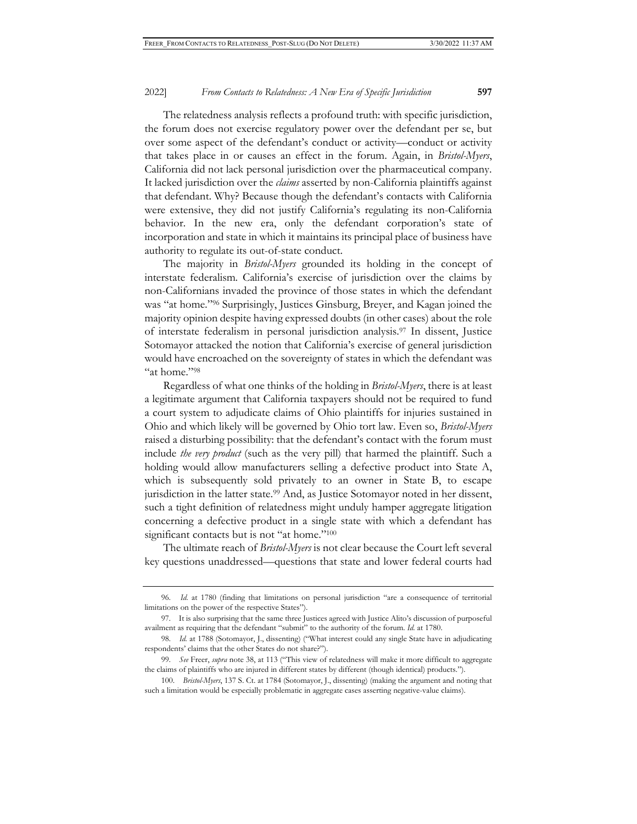The relatedness analysis reflects a profound truth: with specific jurisdiction, the forum does not exercise regulatory power over the defendant per se, but over some aspect of the defendant's conduct or activity—conduct or activity that takes place in or causes an effect in the forum. Again, in *Bristol-Myers*, California did not lack personal jurisdiction over the pharmaceutical company. It lacked jurisdiction over the *claims* asserted by non-California plaintiffs against that defendant. Why? Because though the defendant's contacts with California were extensive, they did not justify California's regulating its non-California behavior. In the new era, only the defendant corporation's state of incorporation and state in which it maintains its principal place of business have authority to regulate its out-of-state conduct.

The majority in *Bristol-Myers* grounded its holding in the concept of interstate federalism*.* California's exercise of jurisdiction over the claims by non-Californians invaded the province of those states in which the defendant was "at home."96 Surprisingly, Justices Ginsburg, Breyer, and Kagan joined the majority opinion despite having expressed doubts (in other cases) about the role of interstate federalism in personal jurisdiction analysis.97 In dissent, Justice Sotomayor attacked the notion that California's exercise of general jurisdiction would have encroached on the sovereignty of states in which the defendant was "at home."98

Regardless of what one thinks of the holding in *Bristol-Myers*, there is at least a legitimate argument that California taxpayers should not be required to fund a court system to adjudicate claims of Ohio plaintiffs for injuries sustained in Ohio and which likely will be governed by Ohio tort law. Even so, *Bristol-Myers* raised a disturbing possibility: that the defendant's contact with the forum must include *the very product* (such as the very pill) that harmed the plaintiff. Such a holding would allow manufacturers selling a defective product into State A, which is subsequently sold privately to an owner in State B, to escape jurisdiction in the latter state.<sup>99</sup> And, as Justice Sotomayor noted in her dissent, such a tight definition of relatedness might unduly hamper aggregate litigation concerning a defective product in a single state with which a defendant has significant contacts but is not "at home."<sup>100</sup>

The ultimate reach of *Bristol-Myers* is not clear because the Court left several key questions unaddressed—questions that state and lower federal courts had

<sup>96.</sup> *Id.* at 1780 (finding that limitations on personal jurisdiction "are a consequence of territorial limitations on the power of the respective States").

<sup>97.</sup> It is also surprising that the same three Justices agreed with Justice Alito's discussion of purposeful availment as requiring that the defendant "submit" to the authority of the forum. *Id.* at 1780.

<sup>98.</sup> *Id.* at 1788 (Sotomayor, J., dissenting) ("What interest could any single State have in adjudicating respondents' claims that the other States do not share?").

<sup>99.</sup> *See* Freer, *supra* note 38, at 113 ("This view of relatedness will make it more difficult to aggregate the claims of plaintiffs who are injured in different states by different (though identical) products.").

<sup>100.</sup> *Bristol-Myers*, 137 S. Ct. at 1784 (Sotomayor, J., dissenting) (making the argument and noting that such a limitation would be especially problematic in aggregate cases asserting negative-value claims).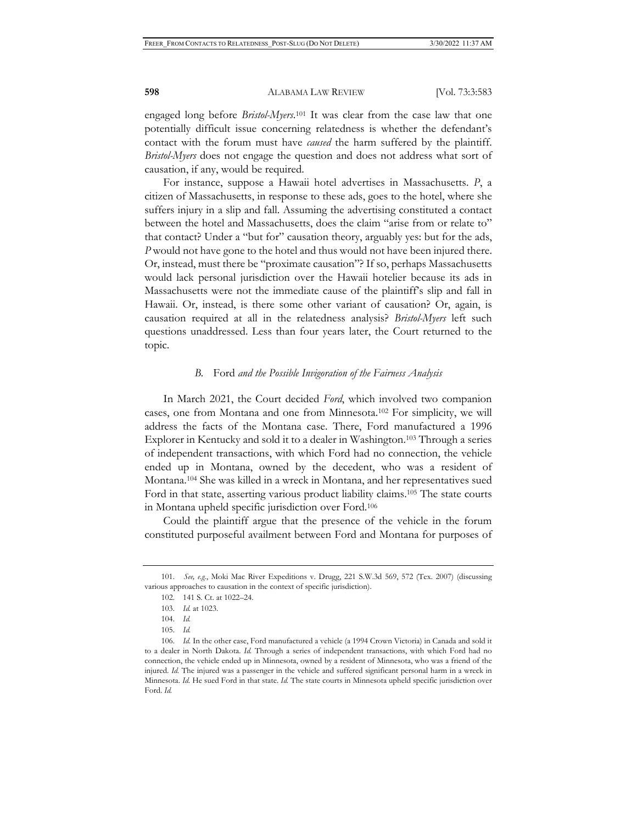engaged long before *Bristol-Myers*. 101 It was clear from the case law that one potentially difficult issue concerning relatedness is whether the defendant's contact with the forum must have *caused* the harm suffered by the plaintiff. *Bristol-Myers* does not engage the question and does not address what sort of causation, if any, would be required.

For instance, suppose a Hawaii hotel advertises in Massachusetts. *P*, a citizen of Massachusetts, in response to these ads, goes to the hotel, where she suffers injury in a slip and fall. Assuming the advertising constituted a contact between the hotel and Massachusetts, does the claim "arise from or relate to" that contact? Under a "but for" causation theory, arguably yes: but for the ads, *P* would not have gone to the hotel and thus would not have been injured there. Or, instead, must there be "proximate causation"? If so, perhaps Massachusetts would lack personal jurisdiction over the Hawaii hotelier because its ads in Massachusetts were not the immediate cause of the plaintiff's slip and fall in Hawaii. Or, instead, is there some other variant of causation? Or, again, is causation required at all in the relatedness analysis? *Bristol-Myers* left such questions unaddressed. Less than four years later, the Court returned to the topic.

## *B.* Ford *and the Possible Invigoration of the Fairness Analysis*

In March 2021, the Court decided *Ford*, which involved two companion cases, one from Montana and one from Minnesota.102 For simplicity, we will address the facts of the Montana case. There, Ford manufactured a 1996 Explorer in Kentucky and sold it to a dealer in Washington.103 Through a series of independent transactions, with which Ford had no connection, the vehicle ended up in Montana, owned by the decedent, who was a resident of Montana.104 She was killed in a wreck in Montana, and her representatives sued Ford in that state, asserting various product liability claims.<sup>105</sup> The state courts in Montana upheld specific jurisdiction over Ford.106

Could the plaintiff argue that the presence of the vehicle in the forum constituted purposeful availment between Ford and Montana for purposes of

<sup>101.</sup> *See, e.g.*, Moki Mac River Expeditions v. Drugg, 221 S.W.3d 569, 572 (Tex. 2007) (discussing various approaches to causation in the context of specific jurisdiction).

<sup>102. 141</sup> S. Ct. at 1022–24.

<sup>103.</sup> *Id.* at 1023.

<sup>104.</sup> *Id.* 

<sup>105.</sup> *Id.* 

<sup>106.</sup> *Id.* In the other case, Ford manufactured a vehicle (a 1994 Crown Victoria) in Canada and sold it to a dealer in North Dakota. *Id.* Through a series of independent transactions, with which Ford had no connection, the vehicle ended up in Minnesota, owned by a resident of Minnesota, who was a friend of the injured. *Id.* The injured was a passenger in the vehicle and suffered significant personal harm in a wreck in Minnesota. *Id.* He sued Ford in that state. *Id.* The state courts in Minnesota upheld specific jurisdiction over Ford. *Id.*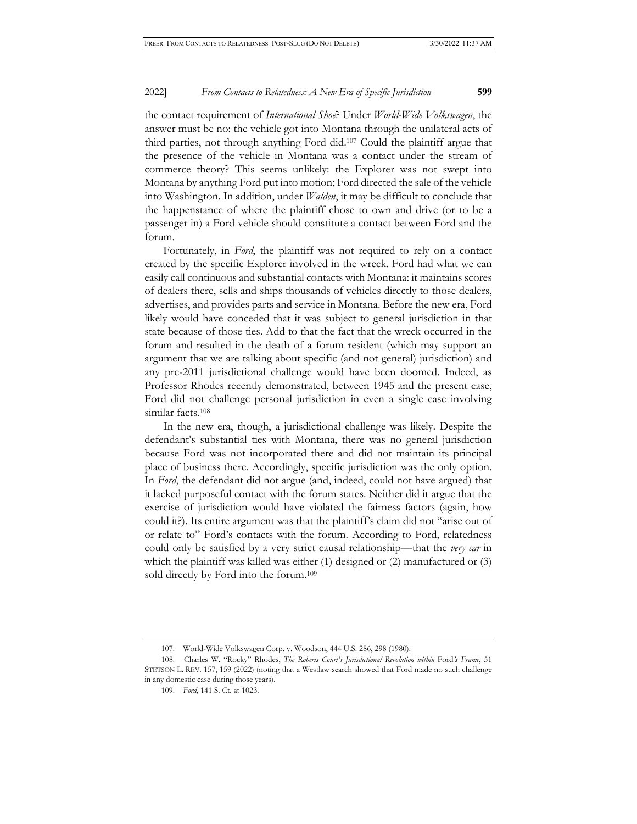the contact requirement of *International Shoe*? Under *World-Wide Volkswagen*, the answer must be no: the vehicle got into Montana through the unilateral acts of third parties, not through anything Ford did.107 Could the plaintiff argue that the presence of the vehicle in Montana was a contact under the stream of commerce theory? This seems unlikely: the Explorer was not swept into Montana by anything Ford put into motion; Ford directed the sale of the vehicle into Washington. In addition, under *Walden*, it may be difficult to conclude that the happenstance of where the plaintiff chose to own and drive (or to be a passenger in) a Ford vehicle should constitute a contact between Ford and the forum.

Fortunately, in *Ford*, the plaintiff was not required to rely on a contact created by the specific Explorer involved in the wreck. Ford had what we can easily call continuous and substantial contacts with Montana: it maintains scores of dealers there, sells and ships thousands of vehicles directly to those dealers, advertises, and provides parts and service in Montana. Before the new era, Ford likely would have conceded that it was subject to general jurisdiction in that state because of those ties. Add to that the fact that the wreck occurred in the forum and resulted in the death of a forum resident (which may support an argument that we are talking about specific (and not general) jurisdiction) and any pre-2011 jurisdictional challenge would have been doomed. Indeed, as Professor Rhodes recently demonstrated, between 1945 and the present case, Ford did not challenge personal jurisdiction in even a single case involving similar facts.<sup>108</sup>

In the new era, though, a jurisdictional challenge was likely. Despite the defendant's substantial ties with Montana, there was no general jurisdiction because Ford was not incorporated there and did not maintain its principal place of business there. Accordingly, specific jurisdiction was the only option. In *Ford*, the defendant did not argue (and, indeed, could not have argued) that it lacked purposeful contact with the forum states. Neither did it argue that the exercise of jurisdiction would have violated the fairness factors (again, how could it?). Its entire argument was that the plaintiff's claim did not "arise out of or relate to" Ford's contacts with the forum. According to Ford, relatedness could only be satisfied by a very strict causal relationship—that the *very car* in which the plaintiff was killed was either (1) designed or (2) manufactured or (3) sold directly by Ford into the forum.109

<sup>107.</sup> World-Wide Volkswagen Corp. v. Woodson, 444 U.S. 286, 298 (1980).

<sup>108.</sup> Charles W. "Rocky" Rhodes, *The Roberts Court's Jurisdictional Revolution within* Ford*'s Frame*, 51 STETSON L. REV. 157, 159 (2022) (noting that a Westlaw search showed that Ford made no such challenge in any domestic case during those years).

<sup>109.</sup> *Ford*, 141 S. Ct. at 1023.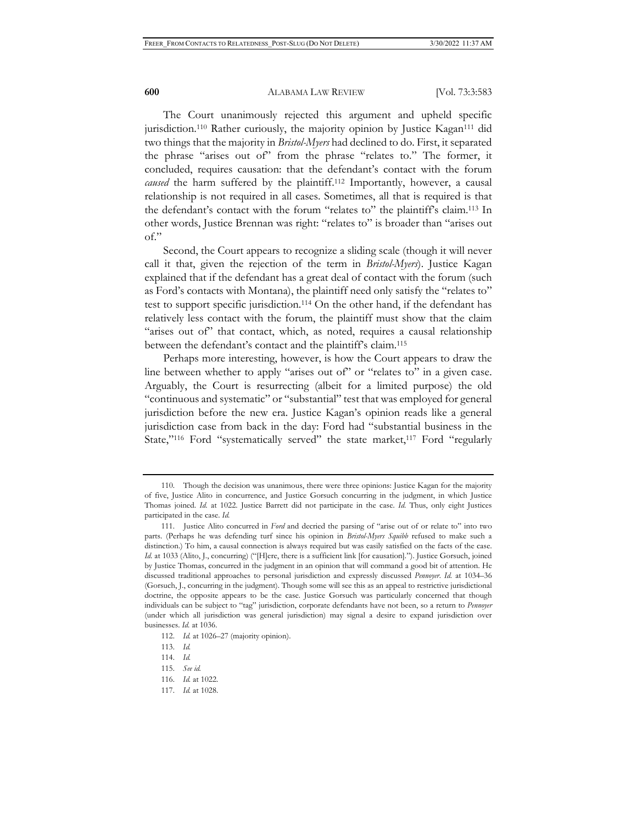The Court unanimously rejected this argument and upheld specific jurisdiction.<sup>110</sup> Rather curiously, the majority opinion by Justice Kagan<sup>111</sup> did two things that the majority in *Bristol-Myers* had declined to do. First, it separated the phrase "arises out of" from the phrase "relates to." The former, it concluded, requires causation: that the defendant's contact with the forum *caused* the harm suffered by the plaintiff.112 Importantly, however, a causal relationship is not required in all cases. Sometimes, all that is required is that the defendant's contact with the forum "relates to" the plaintiff's claim.113 In other words, Justice Brennan was right: "relates to" is broader than "arises out of."

Second, the Court appears to recognize a sliding scale (though it will never call it that, given the rejection of the term in *Bristol-Myers*). Justice Kagan explained that if the defendant has a great deal of contact with the forum (such as Ford's contacts with Montana), the plaintiff need only satisfy the "relates to" test to support specific jurisdiction.114 On the other hand, if the defendant has relatively less contact with the forum, the plaintiff must show that the claim "arises out of" that contact, which, as noted, requires a causal relationship between the defendant's contact and the plaintiff's claim.<sup>115</sup>

Perhaps more interesting, however, is how the Court appears to draw the line between whether to apply "arises out of" or "relates to" in a given case. Arguably, the Court is resurrecting (albeit for a limited purpose) the old "continuous and systematic" or "substantial" test that was employed for general jurisdiction before the new era. Justice Kagan's opinion reads like a general jurisdiction case from back in the day: Ford had "substantial business in the State,"<sup>116</sup> Ford "systematically served" the state market,<sup>117</sup> Ford "regularly

<sup>110.</sup> Though the decision was unanimous, there were three opinions: Justice Kagan for the majority of five, Justice Alito in concurrence, and Justice Gorsuch concurring in the judgment, in which Justice Thomas joined. *Id.* at 1022. Justice Barrett did not participate in the case. *Id.* Thus, only eight Justices participated in the case. *Id.*

<sup>111.</sup> Justice Alito concurred in *Ford* and decried the parsing of "arise out of or relate to" into two parts. (Perhaps he was defending turf since his opinion in *Bristol-Myers Squibb* refused to make such a distinction.) To him, a causal connection is always required but was easily satisfied on the facts of the case. *Id.* at 1033 (Alito, J., concurring) ("[H]ere, there is a sufficient link [for causation]."). Justice Gorsuch, joined by Justice Thomas, concurred in the judgment in an opinion that will command a good bit of attention. He discussed traditional approaches to personal jurisdiction and expressly discussed *Pennoyer*. *Id.* at 1034–36 (Gorsuch, J., concurring in the judgment). Though some will see this as an appeal to restrictive jurisdictional doctrine, the opposite appears to be the case. Justice Gorsuch was particularly concerned that though individuals can be subject to "tag" jurisdiction, corporate defendants have not been, so a return to *Pennoyer* (under which all jurisdiction was general jurisdiction) may signal a desire to expand jurisdiction over businesses. *Id.* at 1036.

<sup>112.</sup> *Id.* at 1026–27 (majority opinion).

<sup>113.</sup> *Id.*

<sup>114.</sup> *Id.* 

<sup>115.</sup> *See id.* 

<sup>116.</sup> *Id.* at 1022.

<sup>117.</sup> *Id.* at 1028.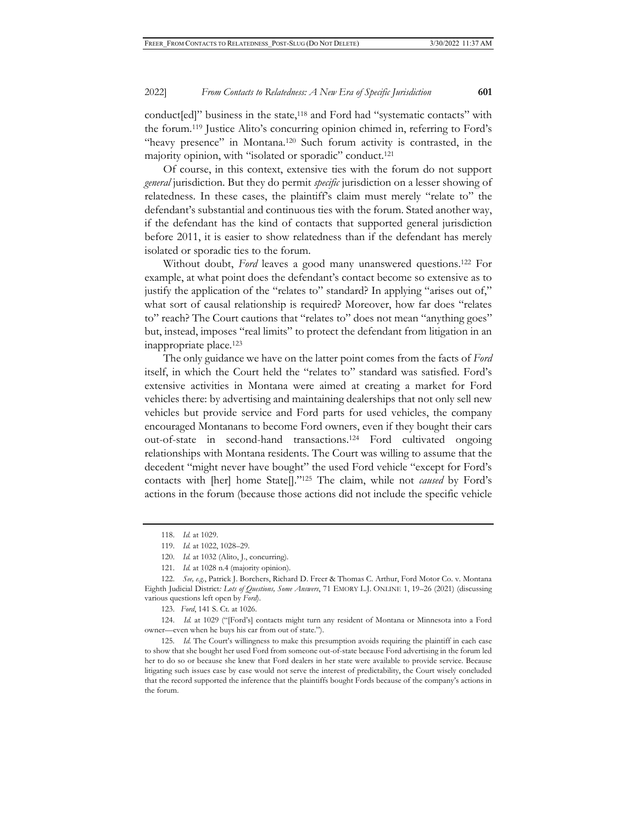conduct[ed]" business in the state,<sup>118</sup> and Ford had "systematic contacts" with the forum.119 Justice Alito's concurring opinion chimed in, referring to Ford's "heavy presence" in Montana.<sup>120</sup> Such forum activity is contrasted, in the majority opinion, with "isolated or sporadic" conduct.121

Of course, in this context, extensive ties with the forum do not support *general* jurisdiction. But they do permit *specific* jurisdiction on a lesser showing of relatedness. In these cases, the plaintiff's claim must merely "relate to" the defendant's substantial and continuous ties with the forum. Stated another way, if the defendant has the kind of contacts that supported general jurisdiction before 2011, it is easier to show relatedness than if the defendant has merely isolated or sporadic ties to the forum.

Without doubt, *Ford* leaves a good many unanswered questions.122 For example, at what point does the defendant's contact become so extensive as to justify the application of the "relates to" standard? In applying "arises out of," what sort of causal relationship is required? Moreover, how far does "relates to" reach? The Court cautions that "relates to" does not mean "anything goes" but, instead, imposes "real limits" to protect the defendant from litigation in an inappropriate place.123

The only guidance we have on the latter point comes from the facts of *Ford* itself, in which the Court held the "relates to" standard was satisfied. Ford's extensive activities in Montana were aimed at creating a market for Ford vehicles there: by advertising and maintaining dealerships that not only sell new vehicles but provide service and Ford parts for used vehicles, the company encouraged Montanans to become Ford owners, even if they bought their cars out-of-state in second-hand transactions.124 Ford cultivated ongoing relationships with Montana residents. The Court was willing to assume that the decedent "might never have bought" the used Ford vehicle "except for Ford's contacts with [her] home State[]."125 The claim, while not *caused* by Ford's actions in the forum (because those actions did not include the specific vehicle

123. *Ford*, 141 S. Ct. at 1026.

124. *Id.* at 1029 ("[Ford's] contacts might turn any resident of Montana or Minnesota into a Ford owner—even when he buys his car from out of state.").

<sup>118.</sup> *Id.* at 1029.

<sup>119.</sup> *Id.* at 1022, 1028–29.

<sup>120.</sup> *Id.* at 1032 (Alito, J., concurring).

<sup>121.</sup> *Id.* at 1028 n.4 (majority opinion).

<sup>122.</sup> *See, e.g.*, Patrick J. Borchers, Richard D. Freer & Thomas C. Arthur, Ford Motor Co. v. Montana Eighth Judicial District*: Lots of Questions, Some Answers*, 71 EMORY L.J. ONLINE 1, 19–26 (2021) (discussing various questions left open by *Ford*).

<sup>125</sup>*. Id.* The Court's willingness to make this presumption avoids requiring the plaintiff in each case to show that she bought her used Ford from someone out-of-state because Ford advertising in the forum led her to do so or because she knew that Ford dealers in her state were available to provide service. Because litigating such issues case by case would not serve the interest of predictability, the Court wisely concluded that the record supported the inference that the plaintiffs bought Fords because of the company's actions in the forum.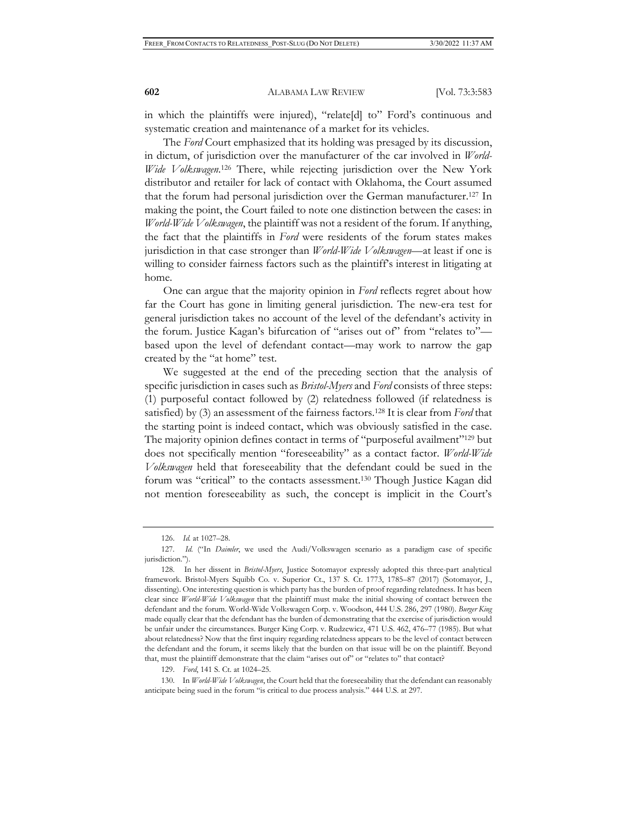in which the plaintiffs were injured), "relate[d] to" Ford's continuous and systematic creation and maintenance of a market for its vehicles.

The *Ford* Court emphasized that its holding was presaged by its discussion, in dictum, of jurisdiction over the manufacturer of the car involved in *World-Wide Volkswagen*. 126 There, while rejecting jurisdiction over the New York distributor and retailer for lack of contact with Oklahoma, the Court assumed that the forum had personal jurisdiction over the German manufacturer.127 In making the point, the Court failed to note one distinction between the cases: in *World-Wide Volkswagen*, the plaintiff was not a resident of the forum. If anything, the fact that the plaintiffs in *Ford* were residents of the forum states makes jurisdiction in that case stronger than *World-Wide Volkswagen*—at least if one is willing to consider fairness factors such as the plaintiff's interest in litigating at home.

One can argue that the majority opinion in *Ford* reflects regret about how far the Court has gone in limiting general jurisdiction. The new-era test for general jurisdiction takes no account of the level of the defendant's activity in the forum. Justice Kagan's bifurcation of "arises out of" from "relates to" based upon the level of defendant contact—may work to narrow the gap created by the "at home" test.

We suggested at the end of the preceding section that the analysis of specific jurisdiction in cases such as *Bristol-Myers* and *Ford* consists of three steps: (1) purposeful contact followed by (2) relatedness followed (if relatedness is satisfied) by (3) an assessment of the fairness factors.128 It is clear from *Ford* that the starting point is indeed contact, which was obviously satisfied in the case. The majority opinion defines contact in terms of "purposeful availment"<sup>129</sup> but does not specifically mention "foreseeability" as a contact factor. *World-Wide Volkswagen* held that foreseeability that the defendant could be sued in the forum was "critical" to the contacts assessment.<sup>130</sup> Though Justice Kagan did not mention foreseeability as such, the concept is implicit in the Court's

129. *Ford*, 141 S. Ct. at 1024–25.

<sup>126.</sup> *Id.* at 1027–28.

<sup>127</sup>*. Id.* ("In *Daimler*, we used the Audi/Volkswagen scenario as a paradigm case of specific jurisdiction.").

<sup>128.</sup> In her dissent in *Bristol-Myers*, Justice Sotomayor expressly adopted this three-part analytical framework. Bristol-Myers Squibb Co. v. Superior Ct., 137 S. Ct. 1773, 1785–87 (2017) (Sotomayor, J., dissenting). One interesting question is which party has the burden of proof regarding relatedness. It has been clear since *World-Wide Volkswagen* that the plaintiff must make the initial showing of contact between the defendant and the forum. World-Wide Volkswagen Corp. v. Woodson, 444 U.S. 286, 297 (1980). *Burger King*  made equally clear that the defendant has the burden of demonstrating that the exercise of jurisdiction would be unfair under the circumstances. Burger King Corp. v. Rudzewicz, 471 U.S. 462, 476–77 (1985). But what about relatedness? Now that the first inquiry regarding relatedness appears to be the level of contact between the defendant and the forum, it seems likely that the burden on that issue will be on the plaintiff. Beyond that, must the plaintiff demonstrate that the claim "arises out of" or "relates to" that contact?

<sup>130.</sup> In *World-Wide Volkswagen*, the Court held that the foreseeability that the defendant can reasonably anticipate being sued in the forum "is critical to due process analysis." 444 U.S. at 297.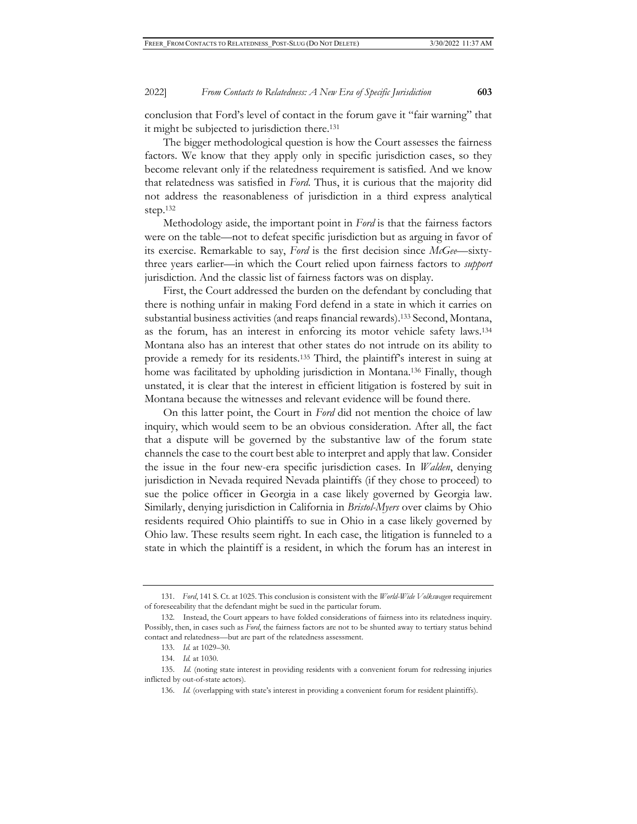conclusion that Ford's level of contact in the forum gave it "fair warning" that it might be subjected to jurisdiction there.131

The bigger methodological question is how the Court assesses the fairness factors. We know that they apply only in specific jurisdiction cases, so they become relevant only if the relatedness requirement is satisfied. And we know that relatedness was satisfied in *Ford*. Thus, it is curious that the majority did not address the reasonableness of jurisdiction in a third express analytical step.132

Methodology aside, the important point in *Ford* is that the fairness factors were on the table—not to defeat specific jurisdiction but as arguing in favor of its exercise. Remarkable to say, *Ford* is the first decision since *McGee*—sixtythree years earlier—in which the Court relied upon fairness factors to *support* jurisdiction. And the classic list of fairness factors was on display.

First, the Court addressed the burden on the defendant by concluding that there is nothing unfair in making Ford defend in a state in which it carries on substantial business activities (and reaps financial rewards).133 Second, Montana, as the forum, has an interest in enforcing its motor vehicle safety laws.134 Montana also has an interest that other states do not intrude on its ability to provide a remedy for its residents.135 Third, the plaintiff's interest in suing at home was facilitated by upholding jurisdiction in Montana.136 Finally, though unstated, it is clear that the interest in efficient litigation is fostered by suit in Montana because the witnesses and relevant evidence will be found there.

On this latter point, the Court in *Ford* did not mention the choice of law inquiry, which would seem to be an obvious consideration. After all, the fact that a dispute will be governed by the substantive law of the forum state channels the case to the court best able to interpret and apply that law. Consider the issue in the four new-era specific jurisdiction cases. In *Walden*, denying jurisdiction in Nevada required Nevada plaintiffs (if they chose to proceed) to sue the police officer in Georgia in a case likely governed by Georgia law. Similarly, denying jurisdiction in California in *Bristol-Myers* over claims by Ohio residents required Ohio plaintiffs to sue in Ohio in a case likely governed by Ohio law. These results seem right. In each case, the litigation is funneled to a state in which the plaintiff is a resident, in which the forum has an interest in

<sup>131.</sup> *Ford*, 141 S. Ct. at 1025. This conclusion is consistent with the *World-Wide Volkswagen* requirement of foreseeability that the defendant might be sued in the particular forum.

<sup>132.</sup> Instead, the Court appears to have folded considerations of fairness into its relatedness inquiry. Possibly, then, in cases such as *Ford*, the fairness factors are not to be shunted away to tertiary status behind contact and relatedness—but are part of the relatedness assessment.

<sup>133.</sup> *Id.* at 1029–30.

<sup>134.</sup> *Id.* at 1030.

<sup>135.</sup> *Id.* (noting state interest in providing residents with a convenient forum for redressing injuries inflicted by out-of-state actors).

<sup>136.</sup> *Id.* (overlapping with state's interest in providing a convenient forum for resident plaintiffs).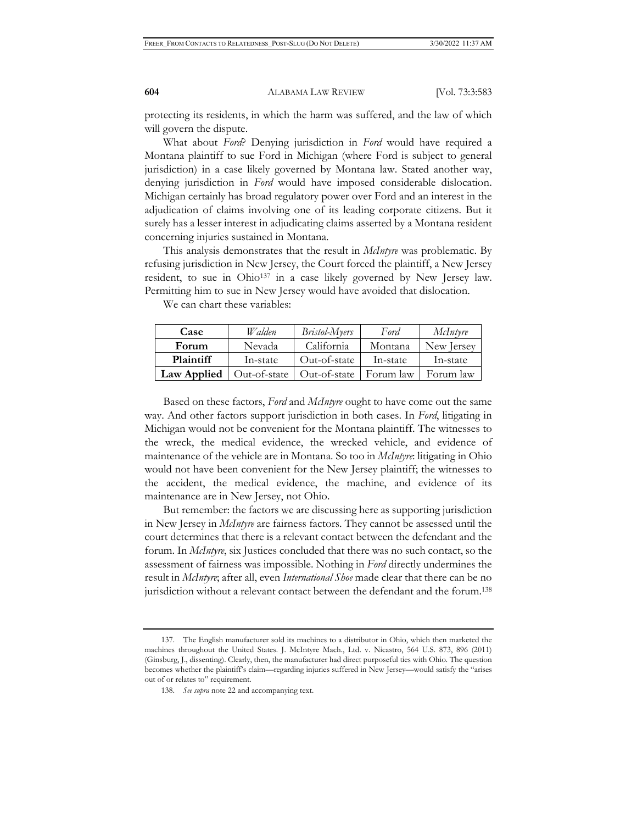protecting its residents, in which the harm was suffered, and the law of which will govern the dispute.

What about *Ford*? Denying jurisdiction in *Ford* would have required a Montana plaintiff to sue Ford in Michigan (where Ford is subject to general jurisdiction) in a case likely governed by Montana law. Stated another way, denying jurisdiction in *Ford* would have imposed considerable dislocation. Michigan certainly has broad regulatory power over Ford and an interest in the adjudication of claims involving one of its leading corporate citizens. But it surely has a lesser interest in adjudicating claims asserted by a Montana resident concerning injuries sustained in Montana.

This analysis demonstrates that the result in *McIntyre* was problematic. By refusing jurisdiction in New Jersey, the Court forced the plaintiff, a New Jersey resident, to sue in Ohio<sup>137</sup> in a case likely governed by New Jersey law. Permitting him to sue in New Jersey would have avoided that dislocation.

We can chart these variables:

| Case             | Walden       | <i>Bristol-Myers</i> | Ford      | McIntyre   |
|------------------|--------------|----------------------|-----------|------------|
| Forum            | Nevada       | California           | Montana   | New Jersey |
| <b>Plaintiff</b> | In-state     | Out-of-state         | In-state  | In-state   |
| Law Applied      | Out-of-state | Out-of-state         | Forum law | Forum law  |

Based on these factors, *Ford* and *McIntyre* ought to have come out the same way. And other factors support jurisdiction in both cases. In *Ford*, litigating in Michigan would not be convenient for the Montana plaintiff. The witnesses to the wreck, the medical evidence, the wrecked vehicle, and evidence of maintenance of the vehicle are in Montana. So too in *McIntyre*: litigating in Ohio would not have been convenient for the New Jersey plaintiff; the witnesses to the accident, the medical evidence, the machine, and evidence of its maintenance are in New Jersey, not Ohio.

But remember: the factors we are discussing here as supporting jurisdiction in New Jersey in *McIntyre* are fairness factors. They cannot be assessed until the court determines that there is a relevant contact between the defendant and the forum. In *McIntyre*, six Justices concluded that there was no such contact, so the assessment of fairness was impossible. Nothing in *Ford* directly undermines the result in *McIntyre*; after all, even *International Shoe* made clear that there can be no jurisdiction without a relevant contact between the defendant and the forum.138

<sup>137.</sup> The English manufacturer sold its machines to a distributor in Ohio, which then marketed the machines throughout the United States. J. McIntyre Mach., Ltd. v. Nicastro, 564 U.S. 873, 896 (2011) (Ginsburg, J., dissenting). Clearly, then, the manufacturer had direct purposeful ties with Ohio. The question becomes whether the plaintiff's claim—regarding injuries suffered in New Jersey—would satisfy the "arises out of or relates to" requirement.

<sup>138.</sup> *See supra* note 22 and accompanying text.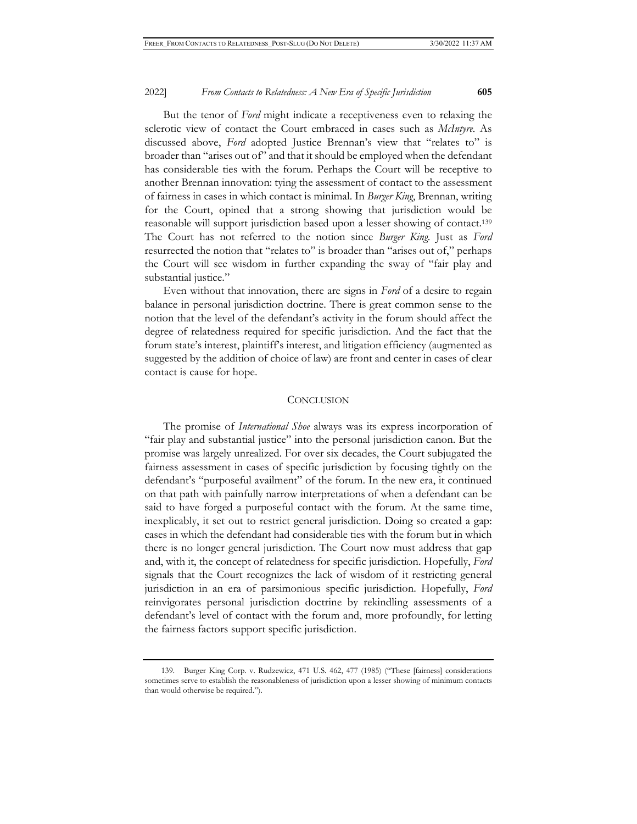But the tenor of *Ford* might indicate a receptiveness even to relaxing the sclerotic view of contact the Court embraced in cases such as *McIntyre*. As discussed above, *Ford* adopted Justice Brennan's view that "relates to" is broader than "arises out of" and that it should be employed when the defendant has considerable ties with the forum. Perhaps the Court will be receptive to another Brennan innovation: tying the assessment of contact to the assessment of fairness in cases in which contact is minimal. In *Burger King*, Brennan, writing for the Court, opined that a strong showing that jurisdiction would be reasonable will support jurisdiction based upon a lesser showing of contact.139 The Court has not referred to the notion since *Burger King*. Just as *Ford* resurrected the notion that "relates to" is broader than "arises out of," perhaps the Court will see wisdom in further expanding the sway of "fair play and substantial justice."

Even without that innovation, there are signs in *Ford* of a desire to regain balance in personal jurisdiction doctrine. There is great common sense to the notion that the level of the defendant's activity in the forum should affect the degree of relatedness required for specific jurisdiction. And the fact that the forum state's interest, plaintiff's interest, and litigation efficiency (augmented as suggested by the addition of choice of law) are front and center in cases of clear contact is cause for hope.

## **CONCLUSION**

The promise of *International Shoe* always was its express incorporation of "fair play and substantial justice" into the personal jurisdiction canon. But the promise was largely unrealized. For over six decades, the Court subjugated the fairness assessment in cases of specific jurisdiction by focusing tightly on the defendant's "purposeful availment" of the forum. In the new era, it continued on that path with painfully narrow interpretations of when a defendant can be said to have forged a purposeful contact with the forum. At the same time, inexplicably, it set out to restrict general jurisdiction. Doing so created a gap: cases in which the defendant had considerable ties with the forum but in which there is no longer general jurisdiction. The Court now must address that gap and, with it, the concept of relatedness for specific jurisdiction. Hopefully, *Ford* signals that the Court recognizes the lack of wisdom of it restricting general jurisdiction in an era of parsimonious specific jurisdiction. Hopefully, *Ford*  reinvigorates personal jurisdiction doctrine by rekindling assessments of a defendant's level of contact with the forum and, more profoundly, for letting the fairness factors support specific jurisdiction.

<sup>139.</sup> Burger King Corp. v. Rudzewicz, 471 U.S. 462, 477 (1985) ("These [fairness] considerations sometimes serve to establish the reasonableness of jurisdiction upon a lesser showing of minimum contacts than would otherwise be required.").